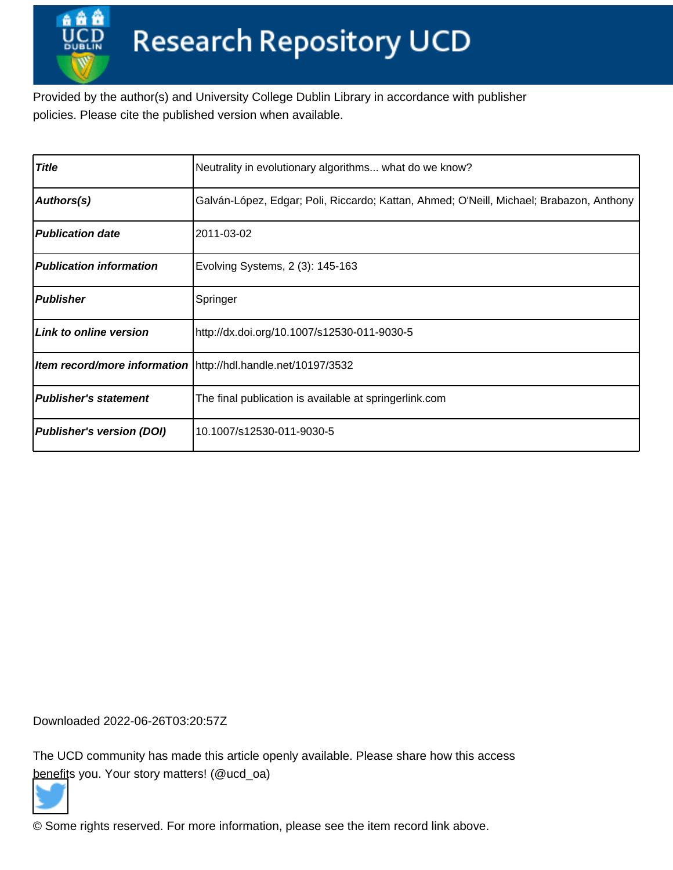Provided by the author(s) and University College Dublin Library in accordance with publisher policies. Please cite the published version when available.

| <b>Title</b>                     | Neutrality in evolutionary algorithms what do we know?                                  |
|----------------------------------|-----------------------------------------------------------------------------------------|
| Authors(s)                       | Galván-López, Edgar; Poli, Riccardo; Kattan, Ahmed; O'Neill, Michael; Brabazon, Anthony |
| <b>Publication date</b>          | 2011-03-02                                                                              |
| <b>Publication information</b>   | Evolving Systems, 2 (3): 145-163                                                        |
| <b>Publisher</b>                 | Springer                                                                                |
| Link to online version           | http://dx.doi.org/10.1007/s12530-011-9030-5                                             |
|                                  | Item record/more information   http://hdl.handle.net/10197/3532                         |
| <b>Publisher's statement</b>     | The final publication is available at springerlink.com                                  |
| <b>Publisher's version (DOI)</b> | 10.1007/s12530-011-9030-5                                                               |

Downloaded 2022-06-26T03:20:57Z

The UCD community has made this article openly available. Please share how this access [benefit](https://twitter.com/intent/tweet?via=ucd_oa&text=DOI%3A10.1007%2Fs12530-011-9030-5&url=http%3A%2F%2Fhdl.handle.net%2F10197%2F3532)s you. Your story matters! (@ucd\_oa)



© Some rights reserved. For more information, please see the item record link above.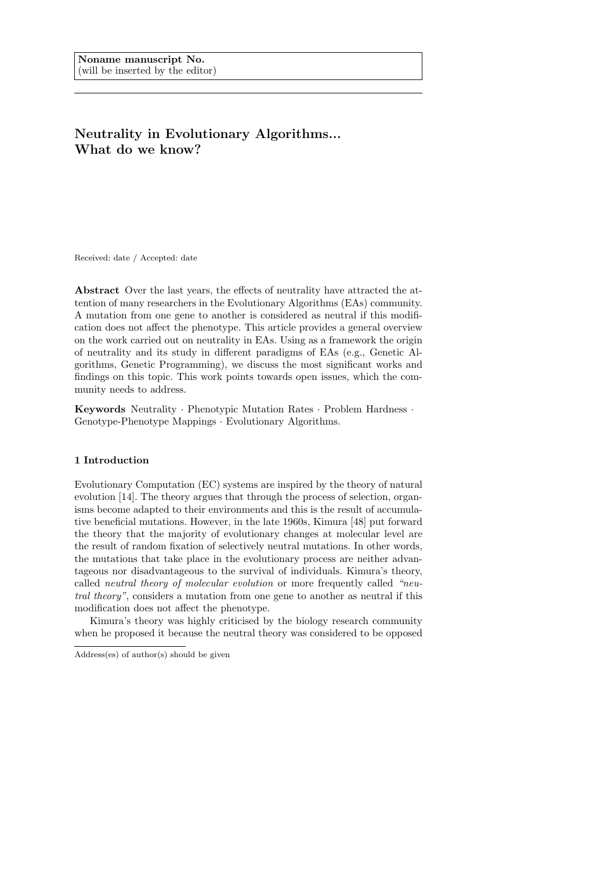# Neutrality in Evolutionary Algorithms... What do we know?

Received: date / Accepted: date

Abstract Over the last years, the effects of neutrality have attracted the attention of many researchers in the Evolutionary Algorithms (EAs) community. A mutation from one gene to another is considered as neutral if this modification does not affect the phenotype. This article provides a general overview on the work carried out on neutrality in EAs. Using as a framework the origin of neutrality and its study in different paradigms of EAs (e.g., Genetic Algorithms, Genetic Programming), we discuss the most significant works and findings on this topic. This work points towards open issues, which the community needs to address.

Keywords Neutrality · Phenotypic Mutation Rates · Problem Hardness · Genotype-Phenotype Mappings · Evolutionary Algorithms.

## 1 Introduction

Evolutionary Computation (EC) systems are inspired by the theory of natural evolution [14]. The theory argues that through the process of selection, organisms become adapted to their environments and this is the result of accumulative beneficial mutations. However, in the late 1960s, Kimura [48] put forward the theory that the majority of evolutionary changes at molecular level are the result of random fixation of selectively neutral mutations. In other words, the mutations that take place in the evolutionary process are neither advantageous nor disadvantageous to the survival of individuals. Kimura's theory, called *neutral theory of molecular evolution* or more frequently called "neutral theory", considers a mutation from one gene to another as neutral if this modification does not affect the phenotype.

Kimura's theory was highly criticised by the biology research community when he proposed it because the neutral theory was considered to be opposed

Address(es) of author(s) should be given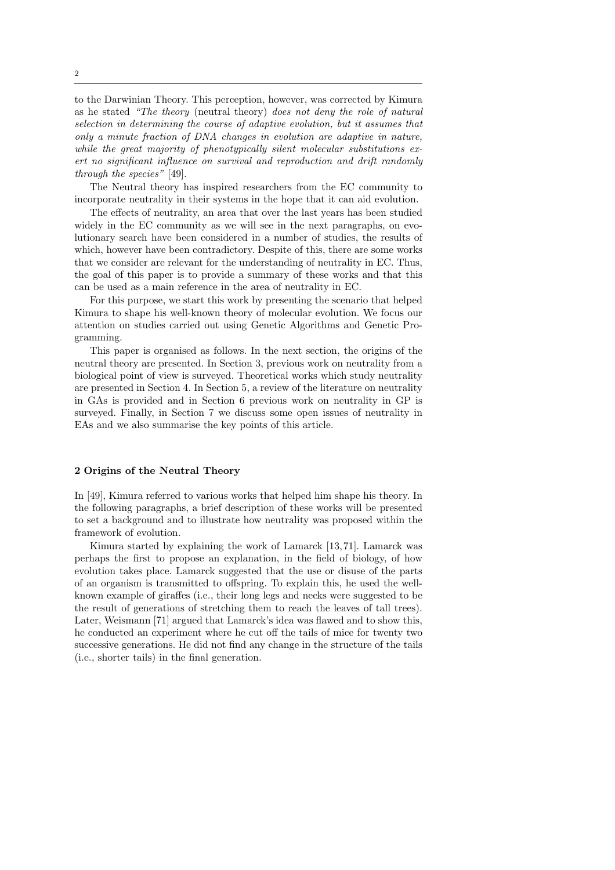to the Darwinian Theory. This perception, however, was corrected by Kimura as he stated "The theory (neutral theory) does not deny the role of natural selection in determining the course of adaptive evolution, but it assumes that only a minute fraction of DNA changes in evolution are adaptive in nature, while the great majority of phenotypically silent molecular substitutions exert no significant influence on survival and reproduction and drift randomly through the species" [49].

The Neutral theory has inspired researchers from the EC community to incorporate neutrality in their systems in the hope that it can aid evolution.

The effects of neutrality, an area that over the last years has been studied widely in the EC community as we will see in the next paragraphs, on evolutionary search have been considered in a number of studies, the results of which, however have been contradictory. Despite of this, there are some works that we consider are relevant for the understanding of neutrality in EC. Thus, the goal of this paper is to provide a summary of these works and that this can be used as a main reference in the area of neutrality in EC.

For this purpose, we start this work by presenting the scenario that helped Kimura to shape his well-known theory of molecular evolution. We focus our attention on studies carried out using Genetic Algorithms and Genetic Programming.

This paper is organised as follows. In the next section, the origins of the neutral theory are presented. In Section 3, previous work on neutrality from a biological point of view is surveyed. Theoretical works which study neutrality are presented in Section 4. In Section 5, a review of the literature on neutrality in GAs is provided and in Section 6 previous work on neutrality in GP is surveyed. Finally, in Section 7 we discuss some open issues of neutrality in EAs and we also summarise the key points of this article.

#### 2 Origins of the Neutral Theory

In [49], Kimura referred to various works that helped him shape his theory. In the following paragraphs, a brief description of these works will be presented to set a background and to illustrate how neutrality was proposed within the framework of evolution.

Kimura started by explaining the work of Lamarck [13, 71]. Lamarck was perhaps the first to propose an explanation, in the field of biology, of how evolution takes place. Lamarck suggested that the use or disuse of the parts of an organism is transmitted to offspring. To explain this, he used the wellknown example of giraffes (i.e., their long legs and necks were suggested to be the result of generations of stretching them to reach the leaves of tall trees). Later, Weismann [71] argued that Lamarck's idea was flawed and to show this, he conducted an experiment where he cut off the tails of mice for twenty two successive generations. He did not find any change in the structure of the tails (i.e., shorter tails) in the final generation.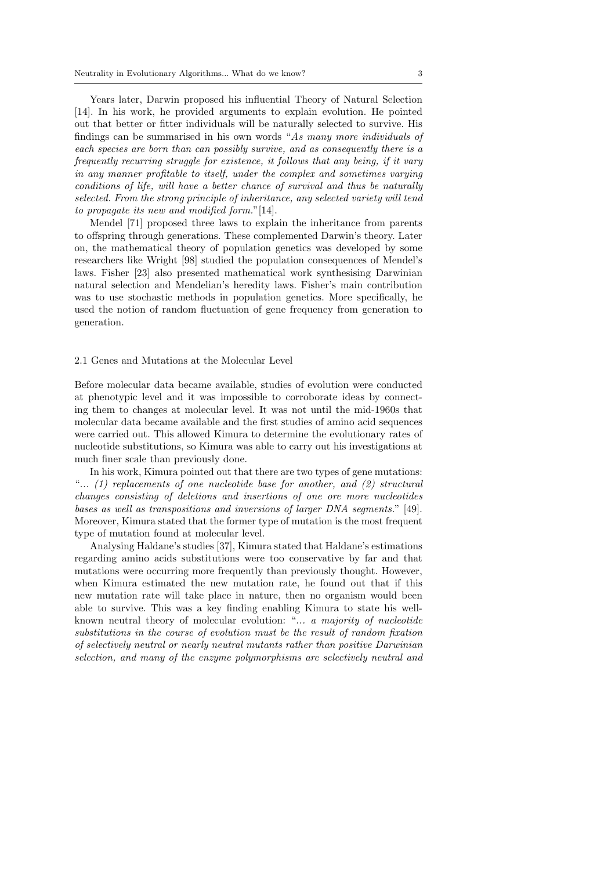Years later, Darwin proposed his influential Theory of Natural Selection [14]. In his work, he provided arguments to explain evolution. He pointed out that better or fitter individuals will be naturally selected to survive. His findings can be summarised in his own words "As many more individuals of each species are born than can possibly survive, and as consequently there is a frequently recurring struggle for existence, it follows that any being, if it vary in any manner profitable to itself, under the complex and sometimes varying conditions of life, will have a better chance of survival and thus be naturally selected. From the strong principle of inheritance, any selected variety will tend to propagate its new and modified form."[14].

Mendel [71] proposed three laws to explain the inheritance from parents to offspring through generations. These complemented Darwin's theory. Later on, the mathematical theory of population genetics was developed by some researchers like Wright [98] studied the population consequences of Mendel's laws. Fisher [23] also presented mathematical work synthesising Darwinian natural selection and Mendelian's heredity laws. Fisher's main contribution was to use stochastic methods in population genetics. More specifically, he used the notion of random fluctuation of gene frequency from generation to generation.

#### 2.1 Genes and Mutations at the Molecular Level

Before molecular data became available, studies of evolution were conducted at phenotypic level and it was impossible to corroborate ideas by connecting them to changes at molecular level. It was not until the mid-1960s that molecular data became available and the first studies of amino acid sequences were carried out. This allowed Kimura to determine the evolutionary rates of nucleotide substitutions, so Kimura was able to carry out his investigations at much finer scale than previously done.

In his work, Kimura pointed out that there are two types of gene mutations: "... (1) replacements of one nucleotide base for another, and  $(2)$  structural changes consisting of deletions and insertions of one ore more nucleotides bases as well as transpositions and inversions of larger DNA segments." [49]. Moreover, Kimura stated that the former type of mutation is the most frequent type of mutation found at molecular level.

Analysing Haldane's studies [37], Kimura stated that Haldane's estimations regarding amino acids substitutions were too conservative by far and that mutations were occurring more frequently than previously thought. However, when Kimura estimated the new mutation rate, he found out that if this new mutation rate will take place in nature, then no organism would been able to survive. This was a key finding enabling Kimura to state his wellknown neutral theory of molecular evolution: "... a majority of nucleotide substitutions in the course of evolution must be the result of random fixation of selectively neutral or nearly neutral mutants rather than positive Darwinian selection, and many of the enzyme polymorphisms are selectively neutral and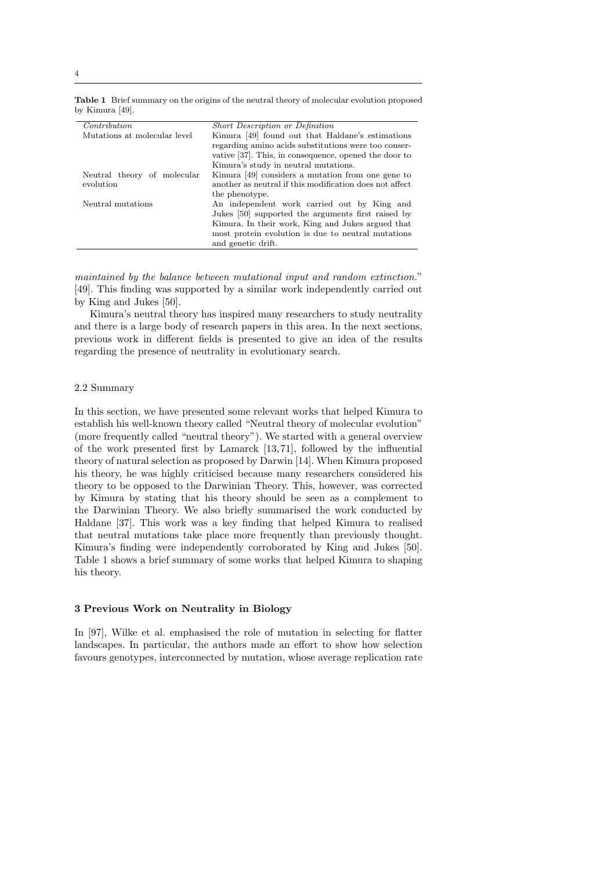Table 1 Brief summary on the origins of the neutral theory of molecular evolution proposed by Kimura [49].

| Contribution                 | Short Description or Definition                         |
|------------------------------|---------------------------------------------------------|
| Mutations at molecular level | Kimura [49] found out that Haldane's estimations        |
|                              | regarding amino acids substitutions were too conser-    |
|                              | vative [37]. This, in consequence, opened the door to   |
|                              | Kimura's study in neutral mutations.                    |
| Neutral theory of molecular  | Kimura [49] considers a mutation from one gene to       |
| evolution                    | another as neutral if this modification does not affect |
|                              | the phenotype.                                          |
| Neutral mutations            | An independent work carried out by King and             |
|                              | Jukes [50] supported the arguments first raised by      |
|                              | Kimura. In their work, King and Jukes argued that       |
|                              | most protein evolution is due to neutral mutations      |
|                              | and genetic drift.                                      |

maintained by the balance between mutational input and random extinction." [49]. This finding was supported by a similar work independently carried out by King and Jukes [50].

Kimura's neutral theory has inspired many researchers to study neutrality and there is a large body of research papers in this area. In the next sections, previous work in different fields is presented to give an idea of the results regarding the presence of neutrality in evolutionary search.

#### 2.2 Summary

In this section, we have presented some relevant works that helped Kimura to establish his well-known theory called "Neutral theory of molecular evolution" (more frequently called "neutral theory"). We started with a general overview of the work presented first by Lamarck [13, 71], followed by the influential theory of natural selection as proposed by Darwin [14]. When Kimura proposed his theory, he was highly criticised because many researchers considered his theory to be opposed to the Darwinian Theory. This, however, was corrected by Kimura by stating that his theory should be seen as a complement to the Darwinian Theory. We also briefly summarised the work conducted by Haldane [37]. This work was a key finding that helped Kimura to realised that neutral mutations take place more frequently than previously thought. Kimura's finding were independently corroborated by King and Jukes [50]. Table 1 shows a brief summary of some works that helped Kimura to shaping his theory.

#### 3 Previous Work on Neutrality in Biology

In [97], Wilke et al. emphasised the role of mutation in selecting for flatter landscapes. In particular, the authors made an effort to show how selection favours genotypes, interconnected by mutation, whose average replication rate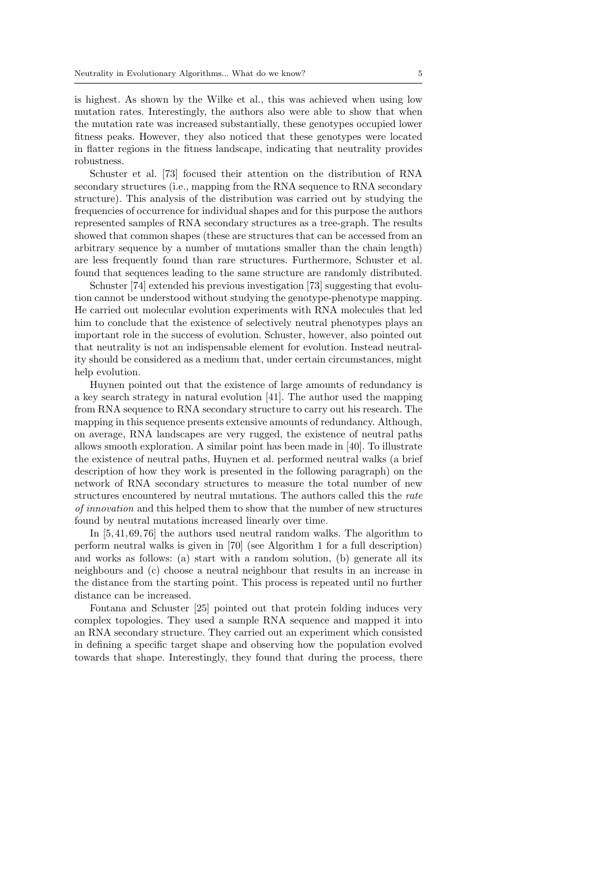is highest. As shown by the Wilke et al., this was achieved when using low mutation rates. Interestingly, the authors also were able to show that when the mutation rate was increased substantially, these genotypes occupied lower fitness peaks. However, they also noticed that these genotypes were located in flatter regions in the fitness landscape, indicating that neutrality provides robustness.

Schuster et al. [73] focused their attention on the distribution of RNA secondary structures (i.e., mapping from the RNA sequence to RNA secondary structure). This analysis of the distribution was carried out by studying the frequencies of occurrence for individual shapes and for this purpose the authors represented samples of RNA secondary structures as a tree-graph. The results showed that common shapes (these are structures that can be accessed from an arbitrary sequence by a number of mutations smaller than the chain length) are less frequently found than rare structures. Furthermore, Schuster et al. found that sequences leading to the same structure are randomly distributed.

Schuster [74] extended his previous investigation [73] suggesting that evolution cannot be understood without studying the genotype-phenotype mapping. He carried out molecular evolution experiments with RNA molecules that led him to conclude that the existence of selectively neutral phenotypes plays an important role in the success of evolution. Schuster, however, also pointed out that neutrality is not an indispensable element for evolution. Instead neutrality should be considered as a medium that, under certain circumstances, might help evolution.

Huynen pointed out that the existence of large amounts of redundancy is a key search strategy in natural evolution [41]. The author used the mapping from RNA sequence to RNA secondary structure to carry out his research. The mapping in this sequence presents extensive amounts of redundancy. Although, on average, RNA landscapes are very rugged, the existence of neutral paths allows smooth exploration. A similar point has been made in [40]. To illustrate the existence of neutral paths, Huynen et al. performed neutral walks (a brief description of how they work is presented in the following paragraph) on the network of RNA secondary structures to measure the total number of new structures encountered by neutral mutations. The authors called this the rate of innovation and this helped them to show that the number of new structures found by neutral mutations increased linearly over time.

In [5, 41, 69, 76] the authors used neutral random walks. The algorithm to perform neutral walks is given in [70] (see Algorithm 1 for a full description) and works as follows: (a) start with a random solution, (b) generate all its neighbours and (c) choose a neutral neighbour that results in an increase in the distance from the starting point. This process is repeated until no further distance can be increased.

Fontana and Schuster [25] pointed out that protein folding induces very complex topologies. They used a sample RNA sequence and mapped it into an RNA secondary structure. They carried out an experiment which consisted in defining a specific target shape and observing how the population evolved towards that shape. Interestingly, they found that during the process, there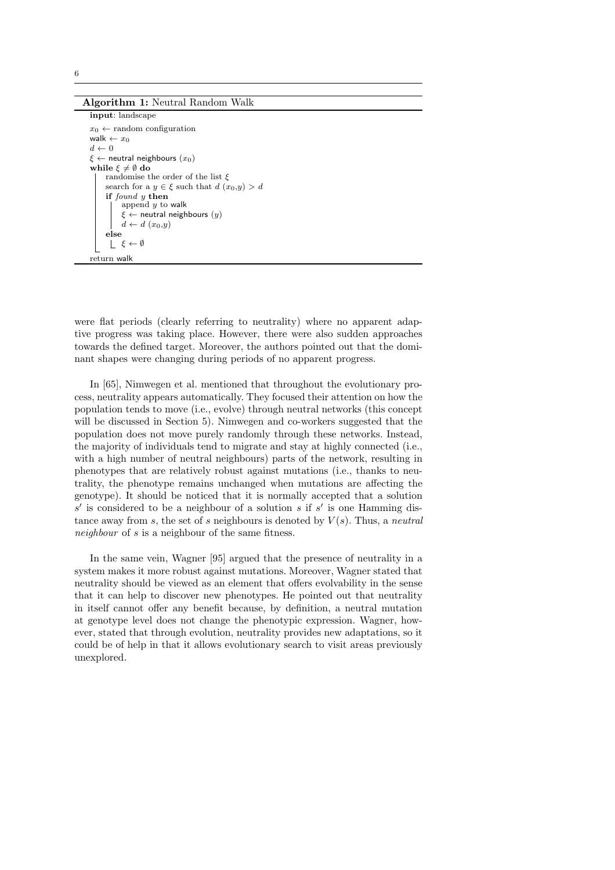Algorithm 1: Neutral Random Walk

input: landscape  $x_0 \leftarrow$  random configuration walk  $\leftarrow x_0$  $d \leftarrow 0$  $\xi \leftarrow$  neutral neighbours  $(x_0)$ while  $\xi \neq \emptyset$  do randomise the order of the list  $\xi$ search for a  $y \in \xi$  such that  $d(x_0,y) > d$ if found y then append y to walk  $\xi \leftarrow$  neutral neighbours  $(y)$  $d \leftarrow d(x_0,y)$ else  $\lfloor \xi \leftarrow \emptyset$ return walk

were flat periods (clearly referring to neutrality) where no apparent adaptive progress was taking place. However, there were also sudden approaches towards the defined target. Moreover, the authors pointed out that the dominant shapes were changing during periods of no apparent progress.

In [65], Nimwegen et al. mentioned that throughout the evolutionary process, neutrality appears automatically. They focused their attention on how the population tends to move (i.e., evolve) through neutral networks (this concept will be discussed in Section 5). Nimwegen and co-workers suggested that the population does not move purely randomly through these networks. Instead, the majority of individuals tend to migrate and stay at highly connected (i.e., with a high number of neutral neighbours) parts of the network, resulting in phenotypes that are relatively robust against mutations (i.e., thanks to neutrality, the phenotype remains unchanged when mutations are affecting the genotype). It should be noticed that it is normally accepted that a solution  $s'$  is considered to be a neighbour of a solution s if s' is one Hamming distance away from s, the set of s neighbours is denoted by  $V(s)$ . Thus, a neutral neighbour of s is a neighbour of the same fitness.

In the same vein, Wagner [95] argued that the presence of neutrality in a system makes it more robust against mutations. Moreover, Wagner stated that neutrality should be viewed as an element that offers evolvability in the sense that it can help to discover new phenotypes. He pointed out that neutrality in itself cannot offer any benefit because, by definition, a neutral mutation at genotype level does not change the phenotypic expression. Wagner, however, stated that through evolution, neutrality provides new adaptations, so it could be of help in that it allows evolutionary search to visit areas previously unexplored.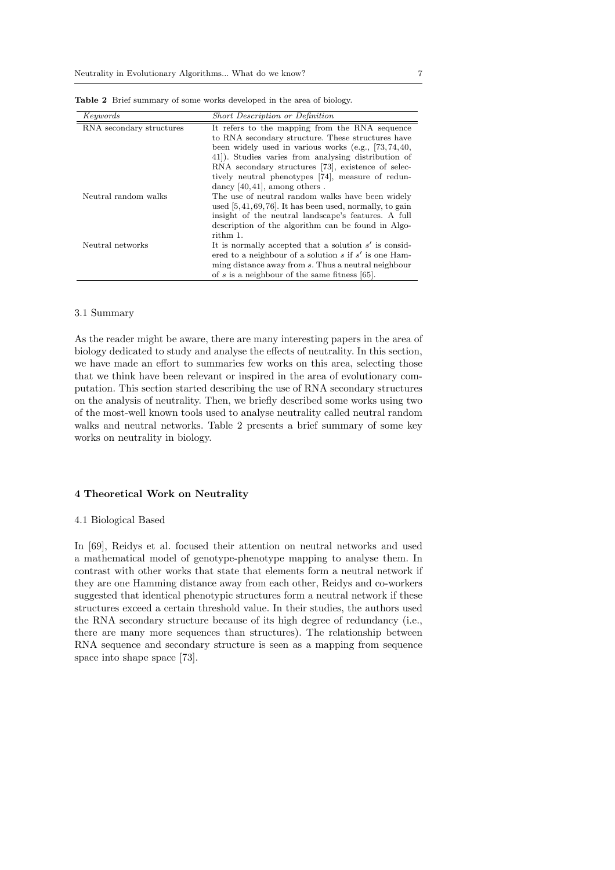| Keywords                 | <b>Short Description or Definition</b>                       |
|--------------------------|--------------------------------------------------------------|
| RNA secondary structures | It refers to the mapping from the RNA sequence               |
|                          | to RNA secondary structure. These structures have            |
|                          | been widely used in various works (e.g., $[73, 74, 40,$      |
|                          | 41). Studies varies from analysing distribution of           |
|                          | RNA secondary structures [73], existence of selec-           |
|                          | tively neutral phenotypes [74], measure of redun-            |
|                          | dancy $[40, 41]$ , among others.                             |
| Neutral random walks     | The use of neutral random walks have been widely             |
|                          | used $[5, 41, 69, 76]$ . It has been used, normally, to gain |
|                          | insight of the neutral landscape's features. A full          |
|                          | description of the algorithm can be found in Algo-           |
|                          | rithm 1.                                                     |
| Neutral networks         | It is normally accepted that a solution $s'$ is consid-      |
|                          | ered to a neighbour of a solution $s$ if $s'$ is one Ham-    |
|                          | ming distance away from s. Thus a neutral neighbour          |
|                          | of s is a neighbour of the same fitness $[65]$ .             |

Table 2 Brief summary of some works developed in the area of biology.

#### 3.1 Summary

As the reader might be aware, there are many interesting papers in the area of biology dedicated to study and analyse the effects of neutrality. In this section, we have made an effort to summaries few works on this area, selecting those that we think have been relevant or inspired in the area of evolutionary computation. This section started describing the use of RNA secondary structures on the analysis of neutrality. Then, we briefly described some works using two of the most-well known tools used to analyse neutrality called neutral random walks and neutral networks. Table 2 presents a brief summary of some key works on neutrality in biology.

#### 4 Theoretical Work on Neutrality

#### 4.1 Biological Based

In [69], Reidys et al. focused their attention on neutral networks and used a mathematical model of genotype-phenotype mapping to analyse them. In contrast with other works that state that elements form a neutral network if they are one Hamming distance away from each other, Reidys and co-workers suggested that identical phenotypic structures form a neutral network if these structures exceed a certain threshold value. In their studies, the authors used the RNA secondary structure because of its high degree of redundancy (i.e., there are many more sequences than structures). The relationship between RNA sequence and secondary structure is seen as a mapping from sequence space into shape space [73].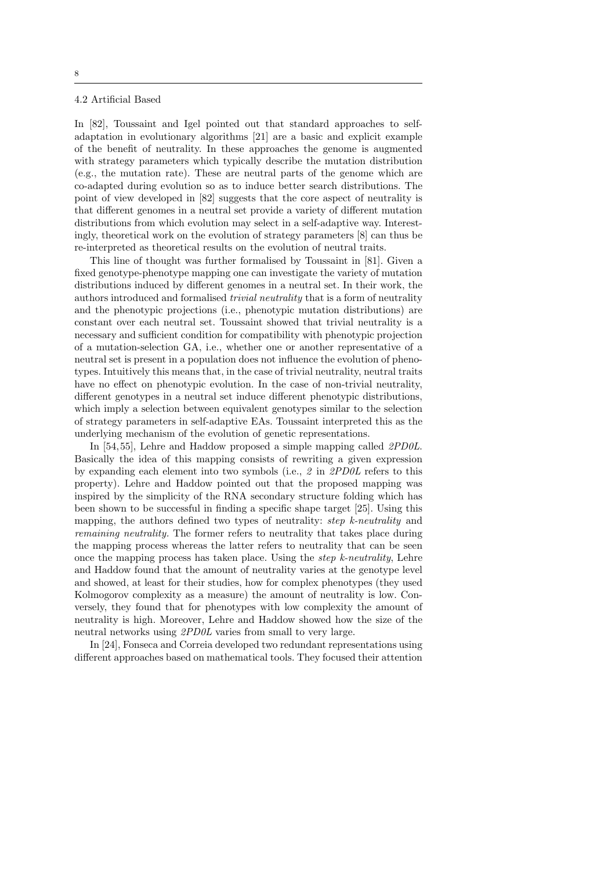#### 4.2 Artificial Based

In [82], Toussaint and Igel pointed out that standard approaches to selfadaptation in evolutionary algorithms [21] are a basic and explicit example of the benefit of neutrality. In these approaches the genome is augmented with strategy parameters which typically describe the mutation distribution (e.g., the mutation rate). These are neutral parts of the genome which are co-adapted during evolution so as to induce better search distributions. The point of view developed in [82] suggests that the core aspect of neutrality is that different genomes in a neutral set provide a variety of different mutation distributions from which evolution may select in a self-adaptive way. Interestingly, theoretical work on the evolution of strategy parameters [8] can thus be re-interpreted as theoretical results on the evolution of neutral traits.

This line of thought was further formalised by Toussaint in [81]. Given a fixed genotype-phenotype mapping one can investigate the variety of mutation distributions induced by different genomes in a neutral set. In their work, the authors introduced and formalised trivial neutrality that is a form of neutrality and the phenotypic projections (i.e., phenotypic mutation distributions) are constant over each neutral set. Toussaint showed that trivial neutrality is a necessary and sufficient condition for compatibility with phenotypic projection of a mutation-selection GA, i.e., whether one or another representative of a neutral set is present in a population does not influence the evolution of phenotypes. Intuitively this means that, in the case of trivial neutrality, neutral traits have no effect on phenotypic evolution. In the case of non-trivial neutrality, different genotypes in a neutral set induce different phenotypic distributions, which imply a selection between equivalent genotypes similar to the selection of strategy parameters in self-adaptive EAs. Toussaint interpreted this as the underlying mechanism of the evolution of genetic representations.

In [54, 55], Lehre and Haddow proposed a simple mapping called 2PD0L. Basically the idea of this mapping consists of rewriting a given expression by expanding each element into two symbols (i.e., 2 in 2PD0L refers to this property). Lehre and Haddow pointed out that the proposed mapping was inspired by the simplicity of the RNA secondary structure folding which has been shown to be successful in finding a specific shape target [25]. Using this mapping, the authors defined two types of neutrality: step k-neutrality and remaining neutrality. The former refers to neutrality that takes place during the mapping process whereas the latter refers to neutrality that can be seen once the mapping process has taken place. Using the *step k-neutrality*, Lehre and Haddow found that the amount of neutrality varies at the genotype level and showed, at least for their studies, how for complex phenotypes (they used Kolmogorov complexity as a measure) the amount of neutrality is low. Conversely, they found that for phenotypes with low complexity the amount of neutrality is high. Moreover, Lehre and Haddow showed how the size of the neutral networks using 2PD0L varies from small to very large.

In [24], Fonseca and Correia developed two redundant representations using different approaches based on mathematical tools. They focused their attention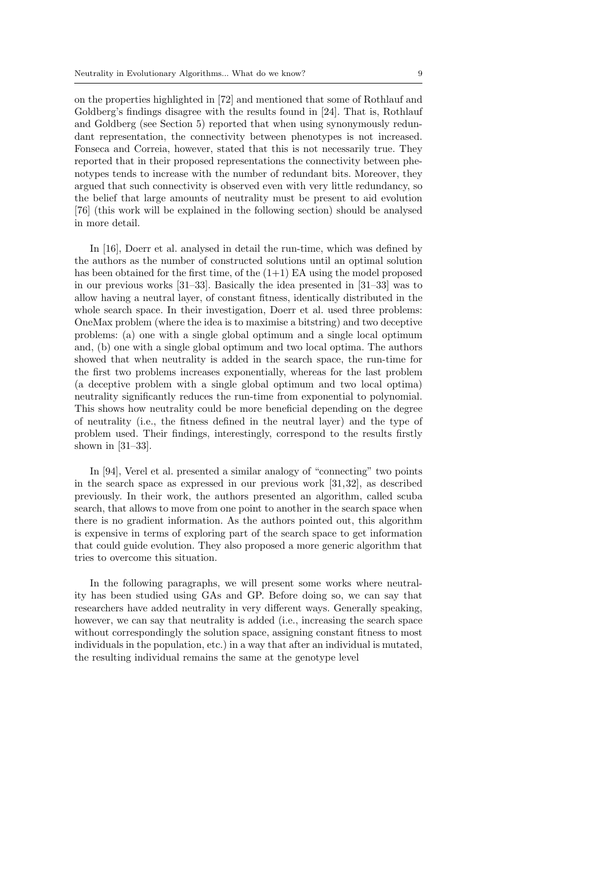on the properties highlighted in [72] and mentioned that some of Rothlauf and Goldberg's findings disagree with the results found in [24]. That is, Rothlauf and Goldberg (see Section 5) reported that when using synonymously redundant representation, the connectivity between phenotypes is not increased. Fonseca and Correia, however, stated that this is not necessarily true. They reported that in their proposed representations the connectivity between phenotypes tends to increase with the number of redundant bits. Moreover, they argued that such connectivity is observed even with very little redundancy, so the belief that large amounts of neutrality must be present to aid evolution [76] (this work will be explained in the following section) should be analysed in more detail.

In [16], Doerr et al. analysed in detail the run-time, which was defined by the authors as the number of constructed solutions until an optimal solution has been obtained for the first time, of the  $(1+1)$  EA using the model proposed in our previous works [31–33]. Basically the idea presented in [31–33] was to allow having a neutral layer, of constant fitness, identically distributed in the whole search space. In their investigation, Doerr et al. used three problems: OneMax problem (where the idea is to maximise a bitstring) and two deceptive problems: (a) one with a single global optimum and a single local optimum and, (b) one with a single global optimum and two local optima. The authors showed that when neutrality is added in the search space, the run-time for the first two problems increases exponentially, whereas for the last problem (a deceptive problem with a single global optimum and two local optima) neutrality significantly reduces the run-time from exponential to polynomial. This shows how neutrality could be more beneficial depending on the degree of neutrality (i.e., the fitness defined in the neutral layer) and the type of problem used. Their findings, interestingly, correspond to the results firstly shown in [31–33].

In [94], Verel et al. presented a similar analogy of "connecting" two points in the search space as expressed in our previous work [31, 32], as described previously. In their work, the authors presented an algorithm, called scuba search, that allows to move from one point to another in the search space when there is no gradient information. As the authors pointed out, this algorithm is expensive in terms of exploring part of the search space to get information that could guide evolution. They also proposed a more generic algorithm that tries to overcome this situation.

In the following paragraphs, we will present some works where neutrality has been studied using GAs and GP. Before doing so, we can say that researchers have added neutrality in very different ways. Generally speaking, however, we can say that neutrality is added (i.e., increasing the search space without correspondingly the solution space, assigning constant fitness to most individuals in the population, etc.) in a way that after an individual is mutated, the resulting individual remains the same at the genotype level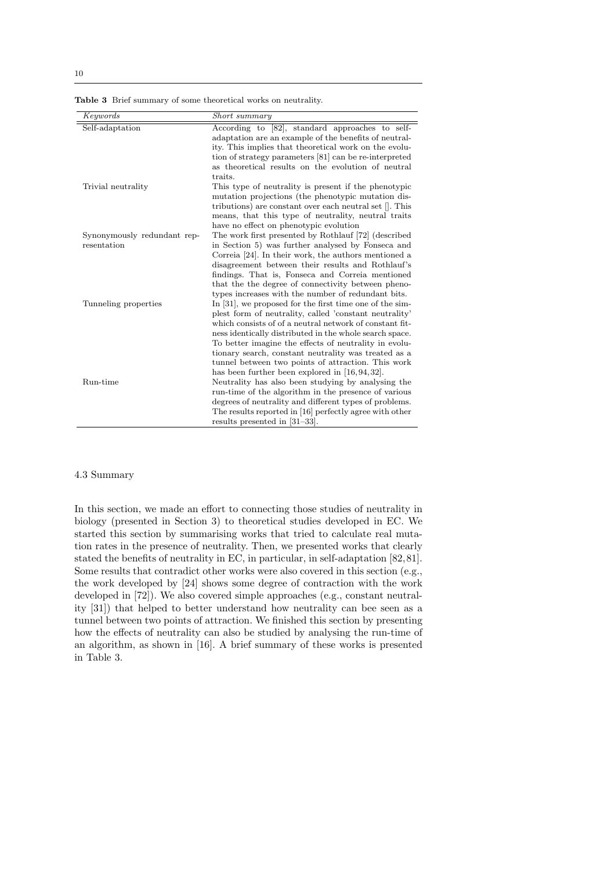10

| Keywords                    | Short summary                                                                                            |
|-----------------------------|----------------------------------------------------------------------------------------------------------|
| Self-adaptation             | According to [82], standard approaches to self-                                                          |
|                             | adaptation are an example of the benefits of neutral-                                                    |
|                             | ity. This implies that theoretical work on the evolu-                                                    |
|                             | tion of strategy parameters [81] can be re-interpreted                                                   |
|                             | as theoretical results on the evolution of neutral                                                       |
|                             | traits.                                                                                                  |
| Trivial neutrality          | This type of neutrality is present if the phenotypic                                                     |
|                             | mutation projections (the phenotypic mutation dis-                                                       |
|                             | tributions) are constant over each neutral set $\parallel$ . This                                        |
|                             | means, that this type of neutrality, neutral traits                                                      |
|                             | have no effect on phenotypic evolution                                                                   |
| Synonymously redundant rep- | The work first presented by Rothlauf [72] (described                                                     |
| resentation                 | in Section 5) was further analysed by Fonseca and                                                        |
|                             | Correia [24]. In their work, the authors mentioned a                                                     |
|                             | disagreement between their results and Rothlauf's                                                        |
|                             | findings. That is, Fonseca and Correia mentioned                                                         |
|                             | that the the degree of connectivity between pheno-<br>types increases with the number of redundant bits. |
| Tunneling properties        | In $[31]$ , we proposed for the first time one of the sim-                                               |
|                             | plest form of neutrality, called 'constant neutrality'                                                   |
|                             | which consists of of a neutral network of constant fit-                                                  |
|                             | ness identically distributed in the whole search space.                                                  |
|                             | To better imagine the effects of neutrality in evolu-                                                    |
|                             | tionary search, constant neutrality was treated as a                                                     |
|                             | tunnel between two points of attraction. This work                                                       |
|                             | has been further been explored in $[16, 94, 32]$ .                                                       |
| Run-time                    | Neutrality has also been studying by analysing the                                                       |
|                             | run-time of the algorithm in the presence of various                                                     |
|                             | degrees of neutrality and different types of problems.                                                   |
|                             | The results reported in [16] perfectly agree with other                                                  |
|                             | results presented in $[31-33]$ .                                                                         |

Table 3 Brief summary of some theoretical works on neutrality.

#### 4.3 Summary

In this section, we made an effort to connecting those studies of neutrality in biology (presented in Section 3) to theoretical studies developed in EC. We started this section by summarising works that tried to calculate real mutation rates in the presence of neutrality. Then, we presented works that clearly stated the benefits of neutrality in EC, in particular, in self-adaptation [82, 81]. Some results that contradict other works were also covered in this section (e.g., the work developed by [24] shows some degree of contraction with the work developed in [72]). We also covered simple approaches (e.g., constant neutrality [31]) that helped to better understand how neutrality can bee seen as a tunnel between two points of attraction. We finished this section by presenting how the effects of neutrality can also be studied by analysing the run-time of an algorithm, as shown in [16]. A brief summary of these works is presented in Table 3.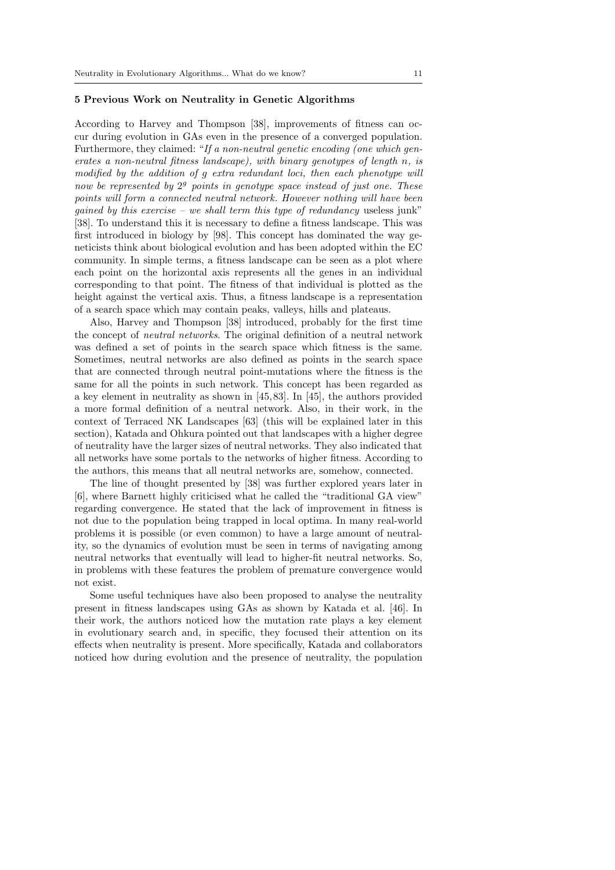## 5 Previous Work on Neutrality in Genetic Algorithms

According to Harvey and Thompson [38], improvements of fitness can occur during evolution in GAs even in the presence of a converged population. Furthermore, they claimed: "If a non-neutral genetic encoding (one which generates a non-neutral fitness landscape), with binary genotypes of length n, is modified by the addition of g extra redundant loci, then each phenotype will now be represented by  $2<sup>g</sup>$  points in genotype space instead of just one. These points will form a connected neutral network. However nothing will have been gained by this exercise – we shall term this type of redundancy useless junk" [38]. To understand this it is necessary to define a fitness landscape. This was first introduced in biology by [98]. This concept has dominated the way geneticists think about biological evolution and has been adopted within the EC community. In simple terms, a fitness landscape can be seen as a plot where each point on the horizontal axis represents all the genes in an individual corresponding to that point. The fitness of that individual is plotted as the height against the vertical axis. Thus, a fitness landscape is a representation of a search space which may contain peaks, valleys, hills and plateaus.

Also, Harvey and Thompson [38] introduced, probably for the first time the concept of neutral networks. The original definition of a neutral network was defined a set of points in the search space which fitness is the same. Sometimes, neutral networks are also defined as points in the search space that are connected through neutral point-mutations where the fitness is the same for all the points in such network. This concept has been regarded as a key element in neutrality as shown in [45, 83]. In [45], the authors provided a more formal definition of a neutral network. Also, in their work, in the context of Terraced NK Landscapes [63] (this will be explained later in this section), Katada and Ohkura pointed out that landscapes with a higher degree of neutrality have the larger sizes of neutral networks. They also indicated that all networks have some portals to the networks of higher fitness. According to the authors, this means that all neutral networks are, somehow, connected.

The line of thought presented by [38] was further explored years later in [6], where Barnett highly criticised what he called the "traditional GA view" regarding convergence. He stated that the lack of improvement in fitness is not due to the population being trapped in local optima. In many real-world problems it is possible (or even common) to have a large amount of neutrality, so the dynamics of evolution must be seen in terms of navigating among neutral networks that eventually will lead to higher-fit neutral networks. So, in problems with these features the problem of premature convergence would not exist.

Some useful techniques have also been proposed to analyse the neutrality present in fitness landscapes using GAs as shown by Katada et al. [46]. In their work, the authors noticed how the mutation rate plays a key element in evolutionary search and, in specific, they focused their attention on its effects when neutrality is present. More specifically, Katada and collaborators noticed how during evolution and the presence of neutrality, the population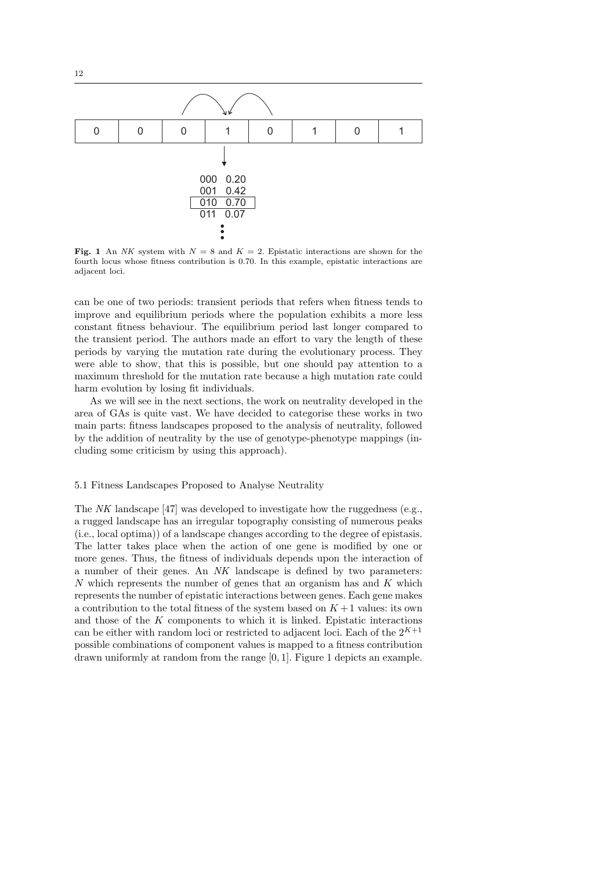

Fig. 1 An NK system with  $N = 8$  and  $K = 2$ . Epistatic interactions are shown for the fourth locus whose fitness contribution is 0.70. In this example, epistatic interactions are adjacent loci.

can be one of two periods: transient periods that refers when fitness tends to improve and equilibrium periods where the population exhibits a more less constant fitness behaviour. The equilibrium period last longer compared to the transient period. The authors made an effort to vary the length of these periods by varying the mutation rate during the evolutionary process. They were able to show, that this is possible, but one should pay attention to a maximum threshold for the mutation rate because a high mutation rate could harm evolution by losing fit individuals.

As we will see in the next sections, the work on neutrality developed in the area of GAs is quite vast. We have decided to categorise these works in two main parts: fitness landscapes proposed to the analysis of neutrality, followed by the addition of neutrality by the use of genotype-phenotype mappings (including some criticism by using this approach).

## 5.1 Fitness Landscapes Proposed to Analyse Neutrality

The NK landscape [47] was developed to investigate how the ruggedness (e.g., a rugged landscape has an irregular topography consisting of numerous peaks (i.e., local optima)) of a landscape changes according to the degree of epistasis. The latter takes place when the action of one gene is modified by one or more genes. Thus, the fitness of individuals depends upon the interaction of a number of their genes. An NK landscape is defined by two parameters:  $N$  which represents the number of genes that an organism has and  $K$  which represents the number of epistatic interactions between genes. Each gene makes a contribution to the total fitness of the system based on  $K+1$  values: its own and those of the K components to which it is linked. Epistatic interactions can be either with random loci or restricted to adjacent loci. Each of the  $2^{K+1}$ possible combinations of component values is mapped to a fitness contribution drawn uniformly at random from the range [0, 1]. Figure 1 depicts an example.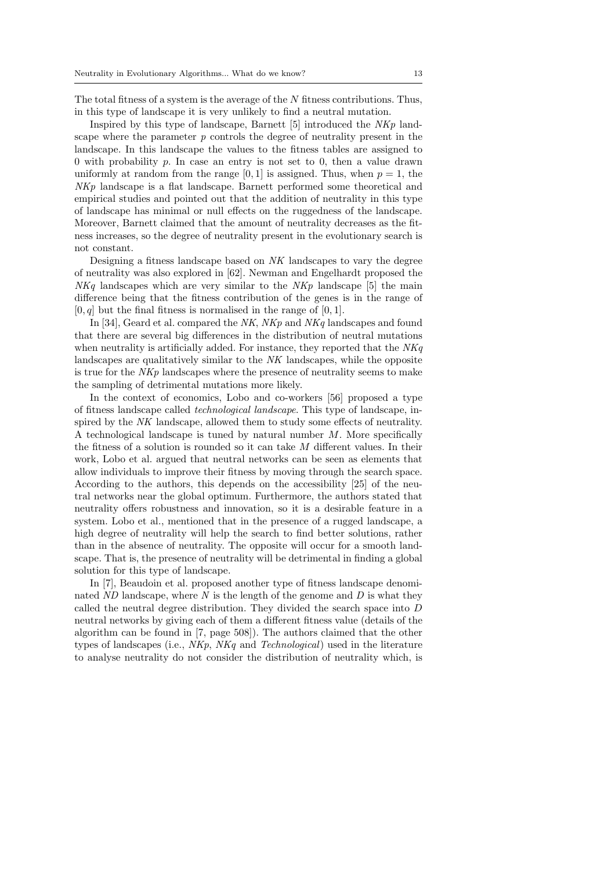The total fitness of a system is the average of the N fitness contributions. Thus, in this type of landscape it is very unlikely to find a neutral mutation.

Inspired by this type of landscape, Barnett [5] introduced the  $NKp$  landscape where the parameter  $p$  controls the degree of neutrality present in the landscape. In this landscape the values to the fitness tables are assigned to 0 with probability  $p$ . In case an entry is not set to 0, then a value drawn uniformly at random from the range [0, 1] is assigned. Thus, when  $p = 1$ , the NKp landscape is a flat landscape. Barnett performed some theoretical and empirical studies and pointed out that the addition of neutrality in this type of landscape has minimal or null effects on the ruggedness of the landscape. Moreover, Barnett claimed that the amount of neutrality decreases as the fitness increases, so the degree of neutrality present in the evolutionary search is not constant.

Designing a fitness landscape based on NK landscapes to vary the degree of neutrality was also explored in [62]. Newman and Engelhardt proposed the  $NKq$  landscapes which are very similar to the  $NKp$  landscape [5] the main difference being that the fitness contribution of the genes is in the range of  $[0, q]$  but the final fitness is normalised in the range of  $[0, 1]$ .

In [34], Geard et al. compared the NK,  $NKp$  and  $NKq$  landscapes and found that there are several big differences in the distribution of neutral mutations when neutrality is artificially added. For instance, they reported that the  $NKq$ landscapes are qualitatively similar to the NK landscapes, while the opposite is true for the  $N K p$  landscapes where the presence of neutrality seems to make the sampling of detrimental mutations more likely.

In the context of economics, Lobo and co-workers [56] proposed a type of fitness landscape called technological landscape. This type of landscape, inspired by the NK landscape, allowed them to study some effects of neutrality. A technological landscape is tuned by natural number M. More specifically the fitness of a solution is rounded so it can take M different values. In their work, Lobo et al. argued that neutral networks can be seen as elements that allow individuals to improve their fitness by moving through the search space. According to the authors, this depends on the accessibility [25] of the neutral networks near the global optimum. Furthermore, the authors stated that neutrality offers robustness and innovation, so it is a desirable feature in a system. Lobo et al., mentioned that in the presence of a rugged landscape, a high degree of neutrality will help the search to find better solutions, rather than in the absence of neutrality. The opposite will occur for a smooth landscape. That is, the presence of neutrality will be detrimental in finding a global solution for this type of landscape.

In [7], Beaudoin et al. proposed another type of fitness landscape denominated  $ND$  landscape, where  $N$  is the length of the genome and  $D$  is what they called the neutral degree distribution. They divided the search space into D neutral networks by giving each of them a different fitness value (details of the algorithm can be found in [7, page 508]). The authors claimed that the other types of landscapes (i.e.,  $N K p$ ,  $N K q$  and *Technological*) used in the literature to analyse neutrality do not consider the distribution of neutrality which, is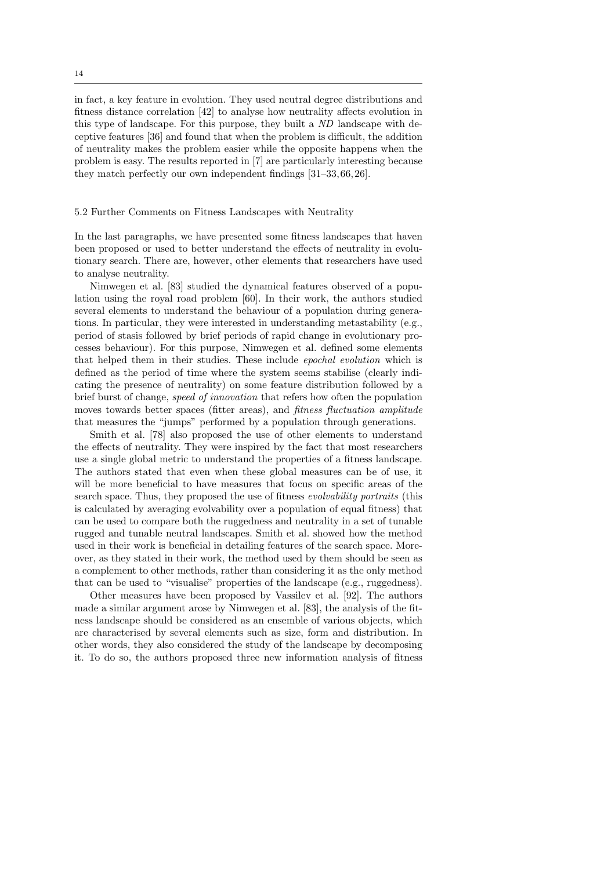in fact, a key feature in evolution. They used neutral degree distributions and fitness distance correlation [42] to analyse how neutrality affects evolution in this type of landscape. For this purpose, they built a ND landscape with deceptive features [36] and found that when the problem is difficult, the addition of neutrality makes the problem easier while the opposite happens when the problem is easy. The results reported in [7] are particularly interesting because they match perfectly our own independent findings [31–33, 66, 26].

#### 5.2 Further Comments on Fitness Landscapes with Neutrality

In the last paragraphs, we have presented some fitness landscapes that haven been proposed or used to better understand the effects of neutrality in evolutionary search. There are, however, other elements that researchers have used to analyse neutrality.

Nimwegen et al. [83] studied the dynamical features observed of a population using the royal road problem [60]. In their work, the authors studied several elements to understand the behaviour of a population during generations. In particular, they were interested in understanding metastability (e.g., period of stasis followed by brief periods of rapid change in evolutionary processes behaviour). For this purpose, Nimwegen et al. defined some elements that helped them in their studies. These include epochal evolution which is defined as the period of time where the system seems stabilise (clearly indicating the presence of neutrality) on some feature distribution followed by a brief burst of change, speed of innovation that refers how often the population moves towards better spaces (fitter areas), and *fitness fluctuation amplitude* that measures the "jumps" performed by a population through generations.

Smith et al. [78] also proposed the use of other elements to understand the effects of neutrality. They were inspired by the fact that most researchers use a single global metric to understand the properties of a fitness landscape. The authors stated that even when these global measures can be of use, it will be more beneficial to have measures that focus on specific areas of the search space. Thus, they proposed the use of fitness evolvability portraits (this is calculated by averaging evolvability over a population of equal fitness) that can be used to compare both the ruggedness and neutrality in a set of tunable rugged and tunable neutral landscapes. Smith et al. showed how the method used in their work is beneficial in detailing features of the search space. Moreover, as they stated in their work, the method used by them should be seen as a complement to other methods, rather than considering it as the only method that can be used to "visualise" properties of the landscape (e.g., ruggedness).

Other measures have been proposed by Vassilev et al. [92]. The authors made a similar argument arose by Nimwegen et al. [83], the analysis of the fitness landscape should be considered as an ensemble of various objects, which are characterised by several elements such as size, form and distribution. In other words, they also considered the study of the landscape by decomposing it. To do so, the authors proposed three new information analysis of fitness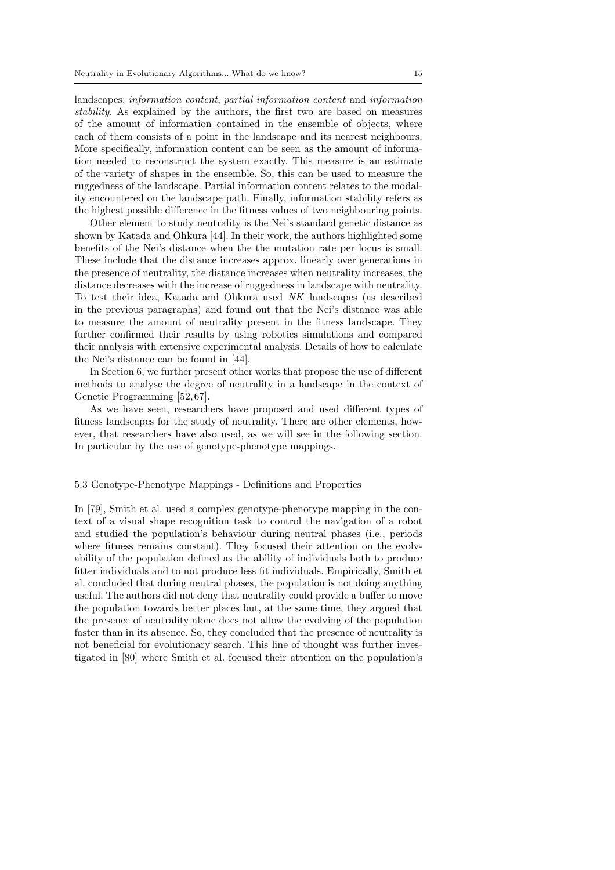landscapes: information content, partial information content and information stability. As explained by the authors, the first two are based on measures of the amount of information contained in the ensemble of objects, where each of them consists of a point in the landscape and its nearest neighbours. More specifically, information content can be seen as the amount of information needed to reconstruct the system exactly. This measure is an estimate of the variety of shapes in the ensemble. So, this can be used to measure the ruggedness of the landscape. Partial information content relates to the modality encountered on the landscape path. Finally, information stability refers as the highest possible difference in the fitness values of two neighbouring points.

Other element to study neutrality is the Nei's standard genetic distance as shown by Katada and Ohkura [44]. In their work, the authors highlighted some benefits of the Nei's distance when the the mutation rate per locus is small. These include that the distance increases approx. linearly over generations in the presence of neutrality, the distance increases when neutrality increases, the distance decreases with the increase of ruggedness in landscape with neutrality. To test their idea, Katada and Ohkura used NK landscapes (as described in the previous paragraphs) and found out that the Nei's distance was able to measure the amount of neutrality present in the fitness landscape. They further confirmed their results by using robotics simulations and compared their analysis with extensive experimental analysis. Details of how to calculate the Nei's distance can be found in [44].

In Section 6, we further present other works that propose the use of different methods to analyse the degree of neutrality in a landscape in the context of Genetic Programming [52, 67].

As we have seen, researchers have proposed and used different types of fitness landscapes for the study of neutrality. There are other elements, however, that researchers have also used, as we will see in the following section. In particular by the use of genotype-phenotype mappings.

## 5.3 Genotype-Phenotype Mappings - Definitions and Properties

In [79], Smith et al. used a complex genotype-phenotype mapping in the context of a visual shape recognition task to control the navigation of a robot and studied the population's behaviour during neutral phases (i.e., periods where fitness remains constant). They focused their attention on the evolvability of the population defined as the ability of individuals both to produce fitter individuals and to not produce less fit individuals. Empirically, Smith et al. concluded that during neutral phases, the population is not doing anything useful. The authors did not deny that neutrality could provide a buffer to move the population towards better places but, at the same time, they argued that the presence of neutrality alone does not allow the evolving of the population faster than in its absence. So, they concluded that the presence of neutrality is not beneficial for evolutionary search. This line of thought was further investigated in [80] where Smith et al. focused their attention on the population's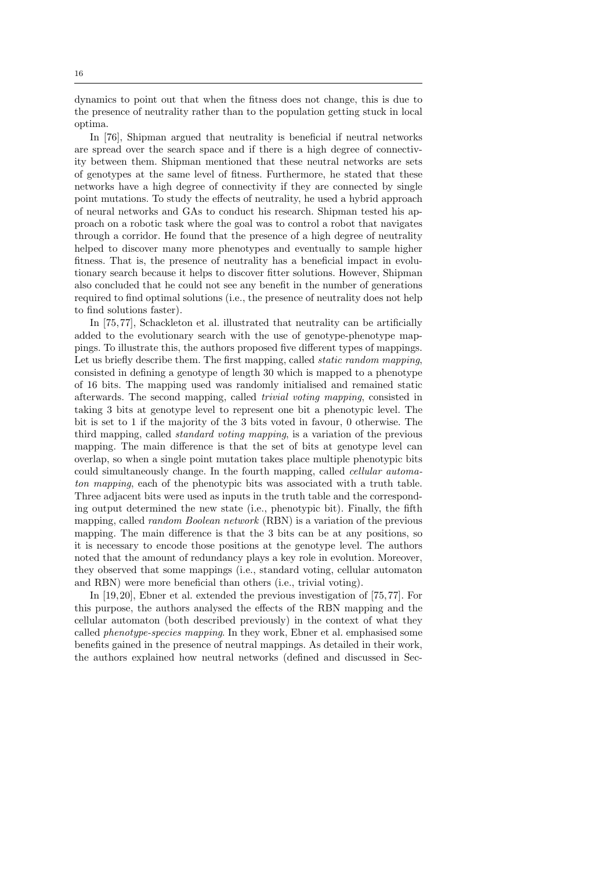dynamics to point out that when the fitness does not change, this is due to the presence of neutrality rather than to the population getting stuck in local optima.

In [76], Shipman argued that neutrality is beneficial if neutral networks are spread over the search space and if there is a high degree of connectivity between them. Shipman mentioned that these neutral networks are sets of genotypes at the same level of fitness. Furthermore, he stated that these networks have a high degree of connectivity if they are connected by single point mutations. To study the effects of neutrality, he used a hybrid approach of neural networks and GAs to conduct his research. Shipman tested his approach on a robotic task where the goal was to control a robot that navigates through a corridor. He found that the presence of a high degree of neutrality helped to discover many more phenotypes and eventually to sample higher fitness. That is, the presence of neutrality has a beneficial impact in evolutionary search because it helps to discover fitter solutions. However, Shipman also concluded that he could not see any benefit in the number of generations required to find optimal solutions (i.e., the presence of neutrality does not help to find solutions faster).

In [75, 77], Schackleton et al. illustrated that neutrality can be artificially added to the evolutionary search with the use of genotype-phenotype mappings. To illustrate this, the authors proposed five different types of mappings. Let us briefly describe them. The first mapping, called *static random mapping*, consisted in defining a genotype of length 30 which is mapped to a phenotype of 16 bits. The mapping used was randomly initialised and remained static afterwards. The second mapping, called trivial voting mapping, consisted in taking 3 bits at genotype level to represent one bit a phenotypic level. The bit is set to 1 if the majority of the 3 bits voted in favour, 0 otherwise. The third mapping, called standard voting mapping, is a variation of the previous mapping. The main difference is that the set of bits at genotype level can overlap, so when a single point mutation takes place multiple phenotypic bits could simultaneously change. In the fourth mapping, called cellular automaton mapping, each of the phenotypic bits was associated with a truth table. Three adjacent bits were used as inputs in the truth table and the corresponding output determined the new state (i.e., phenotypic bit). Finally, the fifth mapping, called random Boolean network (RBN) is a variation of the previous mapping. The main difference is that the 3 bits can be at any positions, so it is necessary to encode those positions at the genotype level. The authors noted that the amount of redundancy plays a key role in evolution. Moreover, they observed that some mappings (i.e., standard voting, cellular automaton and RBN) were more beneficial than others (i.e., trivial voting).

In [19, 20], Ebner et al. extended the previous investigation of [75, 77]. For this purpose, the authors analysed the effects of the RBN mapping and the cellular automaton (both described previously) in the context of what they called phenotype-species mapping. In they work, Ebner et al. emphasised some benefits gained in the presence of neutral mappings. As detailed in their work, the authors explained how neutral networks (defined and discussed in Sec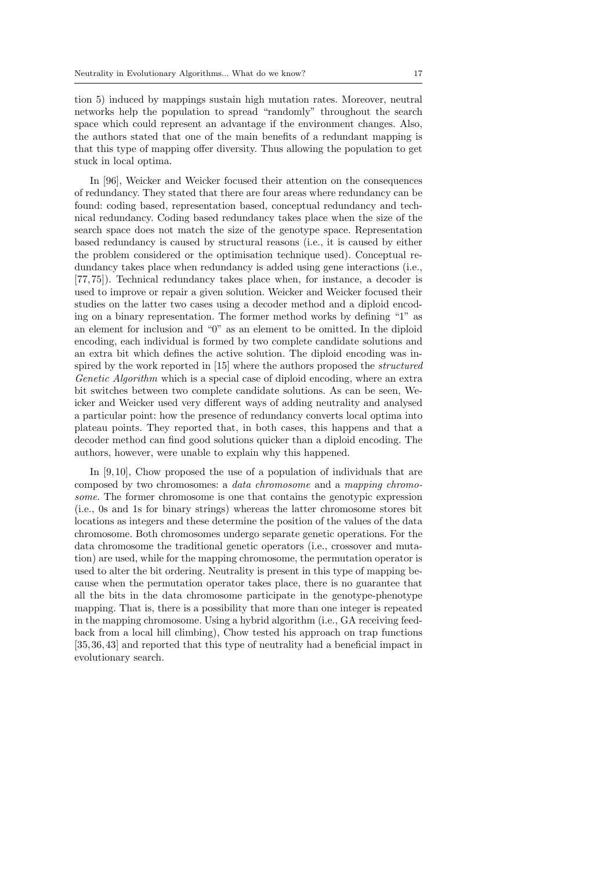tion 5) induced by mappings sustain high mutation rates. Moreover, neutral networks help the population to spread "randomly" throughout the search space which could represent an advantage if the environment changes. Also, the authors stated that one of the main benefits of a redundant mapping is that this type of mapping offer diversity. Thus allowing the population to get stuck in local optima.

In [96], Weicker and Weicker focused their attention on the consequences of redundancy. They stated that there are four areas where redundancy can be found: coding based, representation based, conceptual redundancy and technical redundancy. Coding based redundancy takes place when the size of the search space does not match the size of the genotype space. Representation based redundancy is caused by structural reasons (i.e., it is caused by either the problem considered or the optimisation technique used). Conceptual redundancy takes place when redundancy is added using gene interactions (i.e., [77, 75]). Technical redundancy takes place when, for instance, a decoder is used to improve or repair a given solution. Weicker and Weicker focused their studies on the latter two cases using a decoder method and a diploid encoding on a binary representation. The former method works by defining "1" as an element for inclusion and "0" as an element to be omitted. In the diploid encoding, each individual is formed by two complete candidate solutions and an extra bit which defines the active solution. The diploid encoding was inspired by the work reported in [15] where the authors proposed the structured Genetic Algorithm which is a special case of diploid encoding, where an extra bit switches between two complete candidate solutions. As can be seen, Weicker and Weicker used very different ways of adding neutrality and analysed a particular point: how the presence of redundancy converts local optima into plateau points. They reported that, in both cases, this happens and that a decoder method can find good solutions quicker than a diploid encoding. The authors, however, were unable to explain why this happened.

In [9, 10], Chow proposed the use of a population of individuals that are composed by two chromosomes: a data chromosome and a mapping chromosome. The former chromosome is one that contains the genotypic expression (i.e., 0s and 1s for binary strings) whereas the latter chromosome stores bit locations as integers and these determine the position of the values of the data chromosome. Both chromosomes undergo separate genetic operations. For the data chromosome the traditional genetic operators (i.e., crossover and mutation) are used, while for the mapping chromosome, the permutation operator is used to alter the bit ordering. Neutrality is present in this type of mapping because when the permutation operator takes place, there is no guarantee that all the bits in the data chromosome participate in the genotype-phenotype mapping. That is, there is a possibility that more than one integer is repeated in the mapping chromosome. Using a hybrid algorithm (i.e., GA receiving feedback from a local hill climbing), Chow tested his approach on trap functions [35, 36, 43] and reported that this type of neutrality had a beneficial impact in evolutionary search.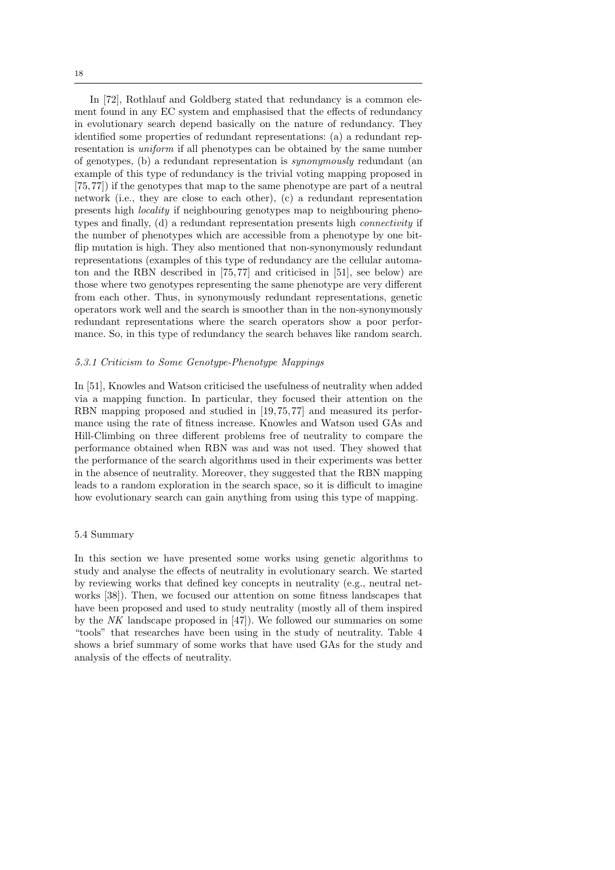In [72], Rothlauf and Goldberg stated that redundancy is a common element found in any EC system and emphasised that the effects of redundancy in evolutionary search depend basically on the nature of redundancy. They identified some properties of redundant representations: (a) a redundant representation is uniform if all phenotypes can be obtained by the same number of genotypes, (b) a redundant representation is synonymously redundant (an example of this type of redundancy is the trivial voting mapping proposed in [75, 77]) if the genotypes that map to the same phenotype are part of a neutral network (i.e., they are close to each other), (c) a redundant representation presents high locality if neighbouring genotypes map to neighbouring phenotypes and finally, (d) a redundant representation presents high connectivity if the number of phenotypes which are accessible from a phenotype by one bitflip mutation is high. They also mentioned that non-synonymously redundant representations (examples of this type of redundancy are the cellular automaton and the RBN described in [75, 77] and criticised in [51], see below) are those where two genotypes representing the same phenotype are very different from each other. Thus, in synonymously redundant representations, genetic operators work well and the search is smoother than in the non-synonymously redundant representations where the search operators show a poor performance. So, in this type of redundancy the search behaves like random search.

#### 5.3.1 Criticism to Some Genotype-Phenotype Mappings

In [51], Knowles and Watson criticised the usefulness of neutrality when added via a mapping function. In particular, they focused their attention on the RBN mapping proposed and studied in [19,75,77] and measured its performance using the rate of fitness increase. Knowles and Watson used GAs and Hill-Climbing on three different problems free of neutrality to compare the performance obtained when RBN was and was not used. They showed that the performance of the search algorithms used in their experiments was better in the absence of neutrality. Moreover, they suggested that the RBN mapping leads to a random exploration in the search space, so it is difficult to imagine how evolutionary search can gain anything from using this type of mapping.

#### 5.4 Summary

In this section we have presented some works using genetic algorithms to study and analyse the effects of neutrality in evolutionary search. We started by reviewing works that defined key concepts in neutrality (e.g., neutral networks [38]). Then, we focused our attention on some fitness landscapes that have been proposed and used to study neutrality (mostly all of them inspired by the NK landscape proposed in [47]). We followed our summaries on some "tools" that researches have been using in the study of neutrality. Table 4 shows a brief summary of some works that have used GAs for the study and analysis of the effects of neutrality.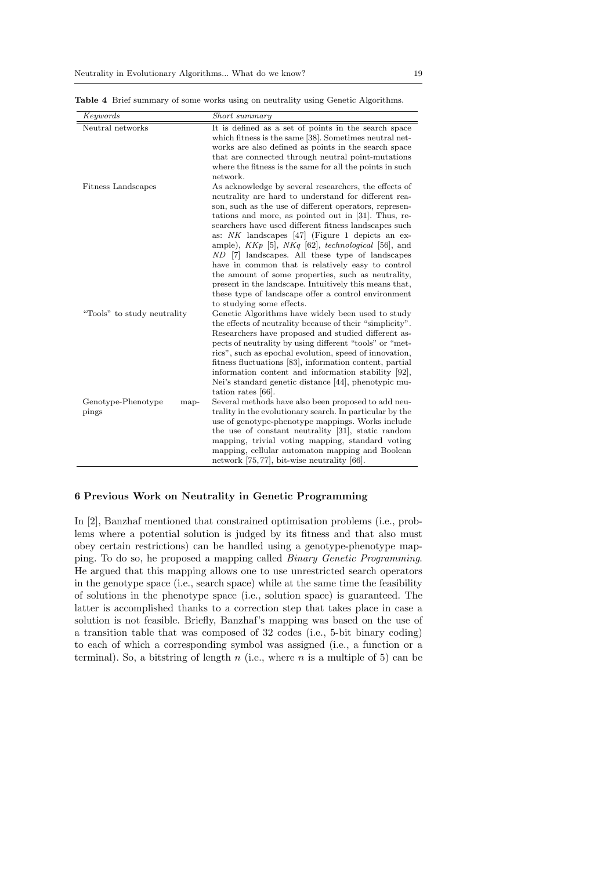| Keywords                    | Short summary                                                                                                                                                             |
|-----------------------------|---------------------------------------------------------------------------------------------------------------------------------------------------------------------------|
| Neutral networks            | It is defined as a set of points in the search space<br>which fitness is the same [38]. Sometimes neutral net-                                                            |
|                             | works are also defined as points in the search space<br>that are connected through neutral point-mutations                                                                |
|                             | where the fitness is the same for all the points in such<br>network.                                                                                                      |
| Fitness Landscapes          | As acknowledge by several researchers, the effects of<br>neutrality are hard to understand for different rea-                                                             |
|                             | son, such as the use of different operators, represen-<br>tations and more, as pointed out in $ 31 $ . Thus, re-<br>searchers have used different fitness landscapes such |
|                             | as: NK landscapes [47] (Figure 1 depicts an ex-<br>ample), $KKp$ [5], $NKq$ [62], technological [56], and                                                                 |
|                             | ND [7] landscapes. All these type of landscapes<br>have in common that is relatively easy to control                                                                      |
|                             | the amount of some properties, such as neutrality,                                                                                                                        |
|                             | present in the landscape. Intuitively this means that,<br>these type of landscape offer a control environment                                                             |
|                             | to studying some effects.                                                                                                                                                 |
| "Tools" to study neutrality | Genetic Algorithms have widely been used to study                                                                                                                         |
|                             | the effects of neutrality because of their "simplicity".<br>Researchers have proposed and studied different as-                                                           |
|                             | pects of neutrality by using different "tools" or "met-                                                                                                                   |
|                             | rics", such as epochal evolution, speed of innovation,                                                                                                                    |
|                             | fitness fluctuations [83], information content, partial                                                                                                                   |
|                             | information content and information stability $ 92 $ ,<br>Nei's standard genetic distance [44], phenotypic mu-                                                            |
|                             | tation rates $ 66 $ .                                                                                                                                                     |
| Genotype-Phenotype<br>map-  | Several methods have also been proposed to add neu-                                                                                                                       |
| pings                       | trality in the evolutionary search. In particular by the<br>use of genotype-phenotype mappings. Works include                                                             |
|                             | the use of constant neutrality [31], static random                                                                                                                        |
|                             | mapping, trivial voting mapping, standard voting                                                                                                                          |
|                             | mapping, cellular automaton mapping and Boolean                                                                                                                           |
|                             | network $[75, 77]$ , bit-wise neutrality $[66]$ .                                                                                                                         |

Table 4 Brief summary of some works using on neutrality using Genetic Algorithms.

# 6 Previous Work on Neutrality in Genetic Programming

In [2], Banzhaf mentioned that constrained optimisation problems (i.e., problems where a potential solution is judged by its fitness and that also must obey certain restrictions) can be handled using a genotype-phenotype mapping. To do so, he proposed a mapping called Binary Genetic Programming. He argued that this mapping allows one to use unrestricted search operators in the genotype space (i.e., search space) while at the same time the feasibility of solutions in the phenotype space (i.e., solution space) is guaranteed. The latter is accomplished thanks to a correction step that takes place in case a solution is not feasible. Briefly, Banzhaf's mapping was based on the use of a transition table that was composed of 32 codes (i.e., 5-bit binary coding) to each of which a corresponding symbol was assigned (i.e., a function or a terminal). So, a bitstring of length n (i.e., where n is a multiple of 5) can be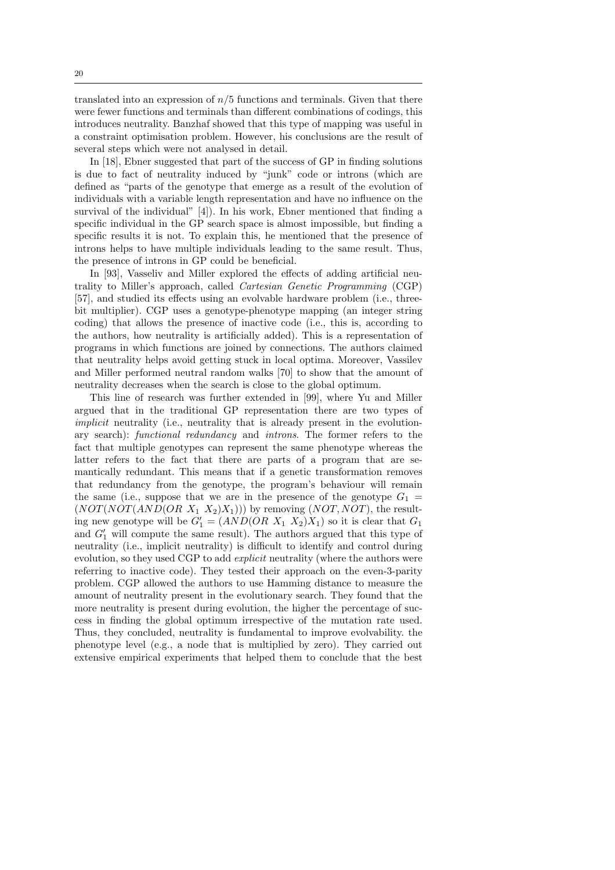translated into an expression of  $n/5$  functions and terminals. Given that there were fewer functions and terminals than different combinations of codings, this introduces neutrality. Banzhaf showed that this type of mapping was useful in a constraint optimisation problem. However, his conclusions are the result of several steps which were not analysed in detail.

In [18], Ebner suggested that part of the success of GP in finding solutions is due to fact of neutrality induced by "junk" code or introns (which are defined as "parts of the genotype that emerge as a result of the evolution of individuals with a variable length representation and have no influence on the survival of the individual" [4]). In his work, Ebner mentioned that finding a specific individual in the GP search space is almost impossible, but finding a specific results it is not. To explain this, he mentioned that the presence of introns helps to have multiple individuals leading to the same result. Thus, the presence of introns in GP could be beneficial.

In [93], Vasseliv and Miller explored the effects of adding artificial neutrality to Miller's approach, called Cartesian Genetic Programming (CGP) [57], and studied its effects using an evolvable hardware problem (i.e., threebit multiplier). CGP uses a genotype-phenotype mapping (an integer string coding) that allows the presence of inactive code (i.e., this is, according to the authors, how neutrality is artificially added). This is a representation of programs in which functions are joined by connections. The authors claimed that neutrality helps avoid getting stuck in local optima. Moreover, Vassilev and Miller performed neutral random walks [70] to show that the amount of neutrality decreases when the search is close to the global optimum.

This line of research was further extended in [99], where Yu and Miller argued that in the traditional GP representation there are two types of implicit neutrality (i.e., neutrality that is already present in the evolutionary search): functional redundancy and introns. The former refers to the fact that multiple genotypes can represent the same phenotype whereas the latter refers to the fact that there are parts of a program that are semantically redundant. This means that if a genetic transformation removes that redundancy from the genotype, the program's behaviour will remain the same (i.e., suppose that we are in the presence of the genotype  $G_1$  =  $(NOT(NOT(AND(OR X<sub>1</sub> X<sub>2</sub>)X<sub>1</sub>)))$  by removing  $(NOT, NOT)$ , the resulting new genotype will be  $G'_1 = (AND(OR \ X_1 \ X_2)X_1)$  so it is clear that  $G_1$ and  $G'_{1}$  will compute the same result). The authors argued that this type of neutrality (i.e., implicit neutrality) is difficult to identify and control during evolution, so they used CGP to add explicit neutrality (where the authors were referring to inactive code). They tested their approach on the even-3-parity problem. CGP allowed the authors to use Hamming distance to measure the amount of neutrality present in the evolutionary search. They found that the more neutrality is present during evolution, the higher the percentage of success in finding the global optimum irrespective of the mutation rate used. Thus, they concluded, neutrality is fundamental to improve evolvability. the phenotype level (e.g., a node that is multiplied by zero). They carried out extensive empirical experiments that helped them to conclude that the best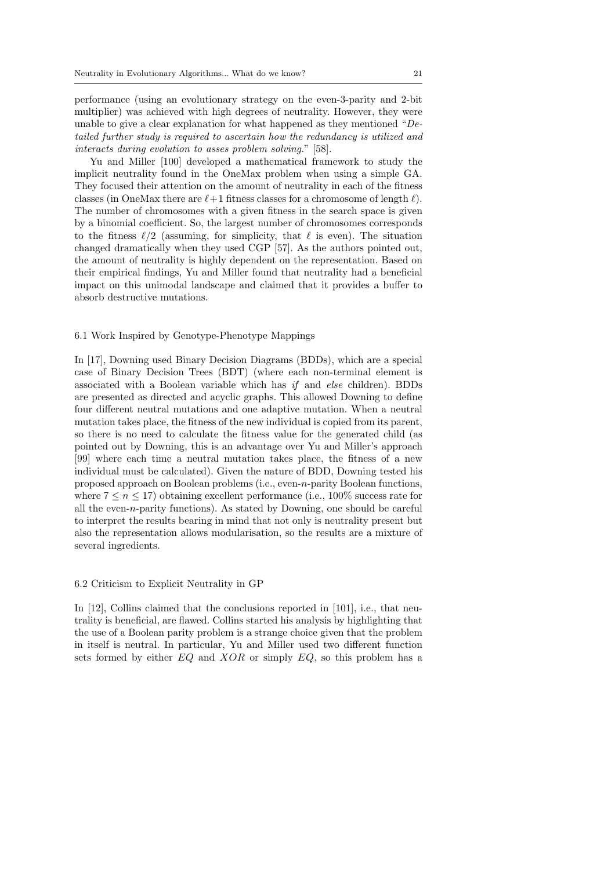performance (using an evolutionary strategy on the even-3-parity and 2-bit multiplier) was achieved with high degrees of neutrality. However, they were unable to give a clear explanation for what happened as they mentioned "Detailed further study is required to ascertain how the redundancy is utilized and interacts during evolution to asses problem solving." [58].

Yu and Miller [100] developed a mathematical framework to study the implicit neutrality found in the OneMax problem when using a simple GA. They focused their attention on the amount of neutrality in each of the fitness classes (in OneMax there are  $\ell+1$  fitness classes for a chromosome of length  $\ell$ ). The number of chromosomes with a given fitness in the search space is given by a binomial coefficient. So, the largest number of chromosomes corresponds to the fitness  $\ell/2$  (assuming, for simplicity, that  $\ell$  is even). The situation changed dramatically when they used CGP [57]. As the authors pointed out, the amount of neutrality is highly dependent on the representation. Based on their empirical findings, Yu and Miller found that neutrality had a beneficial impact on this unimodal landscape and claimed that it provides a buffer to absorb destructive mutations.

## 6.1 Work Inspired by Genotype-Phenotype Mappings

In [17], Downing used Binary Decision Diagrams (BDDs), which are a special case of Binary Decision Trees (BDT) (where each non-terminal element is associated with a Boolean variable which has if and else children). BDDs are presented as directed and acyclic graphs. This allowed Downing to define four different neutral mutations and one adaptive mutation. When a neutral mutation takes place, the fitness of the new individual is copied from its parent, so there is no need to calculate the fitness value for the generated child (as pointed out by Downing, this is an advantage over Yu and Miller's approach [99] where each time a neutral mutation takes place, the fitness of a new individual must be calculated). Given the nature of BDD, Downing tested his proposed approach on Boolean problems (i.e., even-n-parity Boolean functions, where  $7 \leq n \leq 17$ ) obtaining excellent performance (i.e., 100\%) success rate for all the even-n-parity functions). As stated by Downing, one should be careful to interpret the results bearing in mind that not only is neutrality present but also the representation allows modularisation, so the results are a mixture of several ingredients.

#### 6.2 Criticism to Explicit Neutrality in GP

In [12], Collins claimed that the conclusions reported in [101], i.e., that neutrality is beneficial, are flawed. Collins started his analysis by highlighting that the use of a Boolean parity problem is a strange choice given that the problem in itself is neutral. In particular, Yu and Miller used two different function sets formed by either  $EQ$  and  $XOR$  or simply  $EQ$ , so this problem has a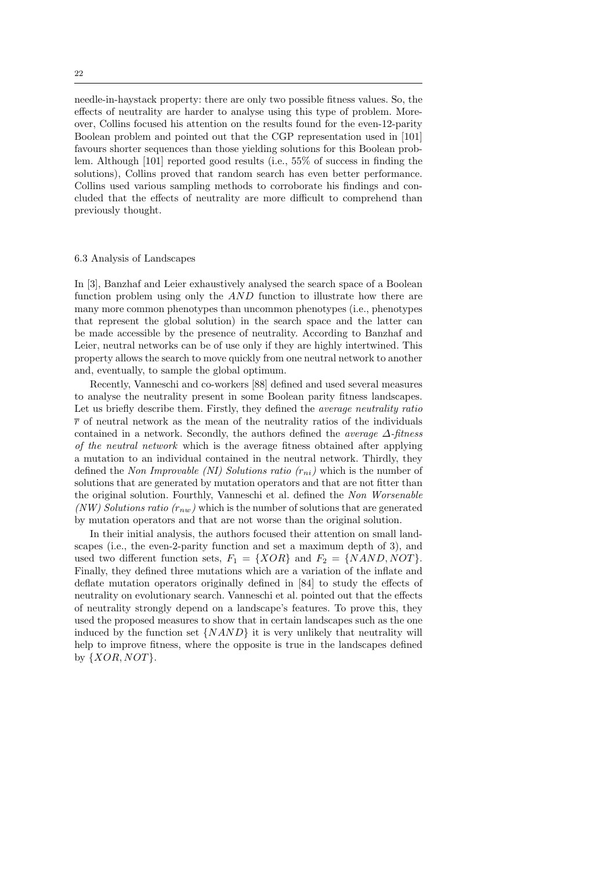needle-in-haystack property: there are only two possible fitness values. So, the effects of neutrality are harder to analyse using this type of problem. Moreover, Collins focused his attention on the results found for the even-12-parity Boolean problem and pointed out that the CGP representation used in [101] favours shorter sequences than those yielding solutions for this Boolean problem. Although [101] reported good results (i.e., 55% of success in finding the solutions), Collins proved that random search has even better performance. Collins used various sampling methods to corroborate his findings and concluded that the effects of neutrality are more difficult to comprehend than previously thought.

## 6.3 Analysis of Landscapes

In [3], Banzhaf and Leier exhaustively analysed the search space of a Boolean function problem using only the AND function to illustrate how there are many more common phenotypes than uncommon phenotypes (i.e., phenotypes that represent the global solution) in the search space and the latter can be made accessible by the presence of neutrality. According to Banzhaf and Leier, neutral networks can be of use only if they are highly intertwined. This property allows the search to move quickly from one neutral network to another and, eventually, to sample the global optimum.

Recently, Vanneschi and co-workers [88] defined and used several measures to analyse the neutrality present in some Boolean parity fitness landscapes. Let us briefly describe them. Firstly, they defined the *average neutrality ratio*  $\bar{r}$  of neutral network as the mean of the neutrality ratios of the individuals contained in a network. Secondly, the authors defined the *average*  $\Delta$ -fitness of the neutral network which is the average fitness obtained after applying a mutation to an individual contained in the neutral network. Thirdly, they defined the Non Improvable (NI) Solutions ratio  $(r_{ni})$  which is the number of solutions that are generated by mutation operators and that are not fitter than the original solution. Fourthly, Vanneschi et al. defined the Non Worsenable (NW) Solutions ratio  $(r_{nw})$  which is the number of solutions that are generated by mutation operators and that are not worse than the original solution.

In their initial analysis, the authors focused their attention on small landscapes (i.e., the even-2-parity function and set a maximum depth of 3), and used two different function sets,  $F_1 = \{XOR\}$  and  $F_2 = \{NAND, NOT\}$ . Finally, they defined three mutations which are a variation of the inflate and deflate mutation operators originally defined in [84] to study the effects of neutrality on evolutionary search. Vanneschi et al. pointed out that the effects of neutrality strongly depend on a landscape's features. To prove this, they used the proposed measures to show that in certain landscapes such as the one induced by the function set  $\{NAND\}$  it is very unlikely that neutrality will help to improve fitness, where the opposite is true in the landscapes defined by  $\{XOR, NOT\}$ .

22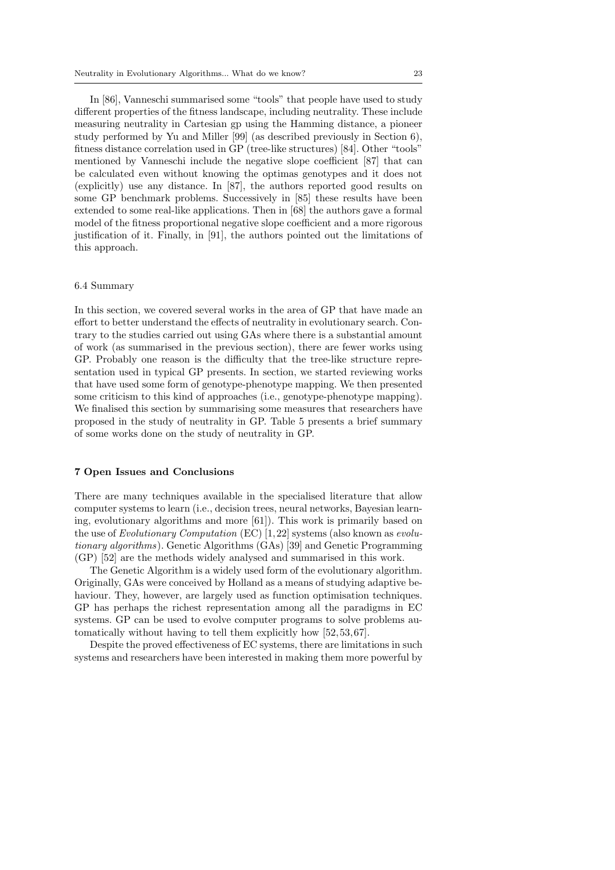In [86], Vanneschi summarised some "tools" that people have used to study different properties of the fitness landscape, including neutrality. These include measuring neutrality in Cartesian gp using the Hamming distance, a pioneer study performed by Yu and Miller [99] (as described previously in Section 6), fitness distance correlation used in GP (tree-like structures) [84]. Other "tools" mentioned by Vanneschi include the negative slope coefficient [87] that can be calculated even without knowing the optimas genotypes and it does not (explicitly) use any distance. In [87], the authors reported good results on some GP benchmark problems. Successively in [85] these results have been extended to some real-like applications. Then in [68] the authors gave a formal model of the fitness proportional negative slope coefficient and a more rigorous justification of it. Finally, in [91], the authors pointed out the limitations of this approach.

#### 6.4 Summary

In this section, we covered several works in the area of GP that have made an effort to better understand the effects of neutrality in evolutionary search. Contrary to the studies carried out using GAs where there is a substantial amount of work (as summarised in the previous section), there are fewer works using GP. Probably one reason is the difficulty that the tree-like structure representation used in typical GP presents. In section, we started reviewing works that have used some form of genotype-phenotype mapping. We then presented some criticism to this kind of approaches (i.e., genotype-phenotype mapping). We finalised this section by summarising some measures that researchers have proposed in the study of neutrality in GP. Table 5 presents a brief summary of some works done on the study of neutrality in GP.

## 7 Open Issues and Conclusions

There are many techniques available in the specialised literature that allow computer systems to learn (i.e., decision trees, neural networks, Bayesian learning, evolutionary algorithms and more [61]). This work is primarily based on the use of Evolutionary Computation (EC)  $[1, 22]$  systems (also known as evolutionary algorithms). Genetic Algorithms (GAs) [39] and Genetic Programming (GP) [52] are the methods widely analysed and summarised in this work.

The Genetic Algorithm is a widely used form of the evolutionary algorithm. Originally, GAs were conceived by Holland as a means of studying adaptive behaviour. They, however, are largely used as function optimisation techniques. GP has perhaps the richest representation among all the paradigms in EC systems. GP can be used to evolve computer programs to solve problems automatically without having to tell them explicitly how [52,53, 67].

Despite the proved effectiveness of EC systems, there are limitations in such systems and researchers have been interested in making them more powerful by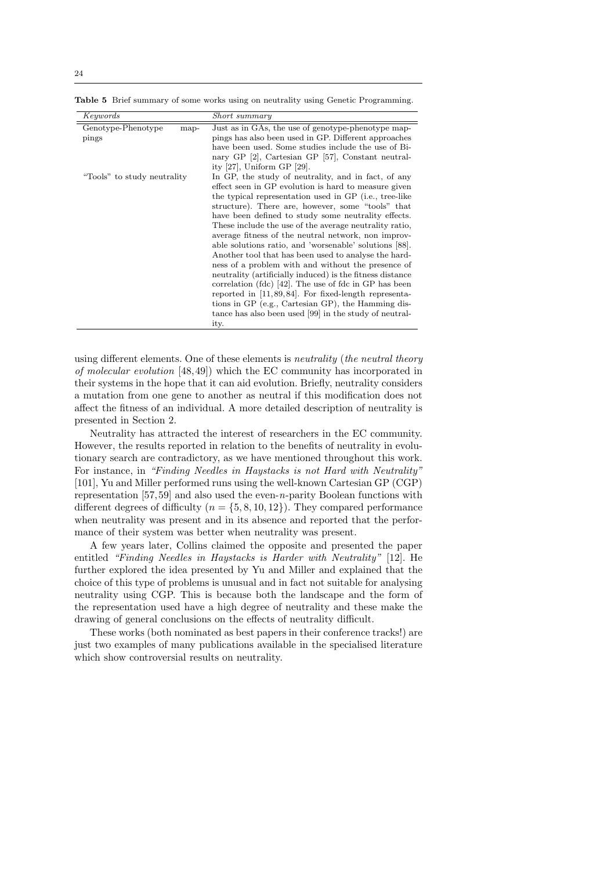Table 5 Brief summary of some works using on neutrality using Genetic Programming.

| Keywords                    | Short summary                                             |
|-----------------------------|-----------------------------------------------------------|
| Genotype-Phenotype<br>map-  | Just as in GAs, the use of genotype-phenotype map-        |
| pings                       | pings has also been used in GP. Different approaches      |
|                             | have been used. Some studies include the use of Bi-       |
|                             | nary GP [2], Cartesian GP [57], Constant neutral-         |
|                             | ity $[27]$ , Uniform GP $[29]$ .                          |
| "Tools" to study neutrality | In GP, the study of neutrality, and in fact, of any       |
|                             | effect seen in GP evolution is hard to measure given      |
|                             | the typical representation used in GP (i.e., tree-like    |
|                             | structure). There are, however, some "tools" that         |
|                             | have been defined to study some neutrality effects.       |
|                             | These include the use of the average neutrality ratio,    |
|                             | average fitness of the neutral network, non improv-       |
|                             | able solutions ratio, and 'worsenable' solutions [88].    |
|                             | Another tool that has been used to analyse the hard-      |
|                             | ness of a problem with and without the presence of        |
|                             | neutrality (artificially induced) is the fitness distance |
|                             | correlation (fdc) $[42]$ . The use of fdc in GP has been  |
|                             | reported in $[11,89,84]$ . For fixed-length representa-   |
|                             | tions in GP (e.g., Cartesian GP), the Hamming dis-        |
|                             | tance has also been used [99] in the study of neutral-    |
|                             | ity.                                                      |

using different elements. One of these elements is *neutrality* (the neutral theory of molecular evolution [48, 49]) which the EC community has incorporated in their systems in the hope that it can aid evolution. Briefly, neutrality considers a mutation from one gene to another as neutral if this modification does not affect the fitness of an individual. A more detailed description of neutrality is presented in Section 2.

Neutrality has attracted the interest of researchers in the EC community. However, the results reported in relation to the benefits of neutrality in evolutionary search are contradictory, as we have mentioned throughout this work. For instance, in "Finding Needles in Haystacks is not Hard with Neutrality" [101], Yu and Miller performed runs using the well-known Cartesian GP (CGP) representation [57, 59] and also used the even-n-parity Boolean functions with different degrees of difficulty  $(n = \{5, 8, 10, 12\})$ . They compared performance when neutrality was present and in its absence and reported that the performance of their system was better when neutrality was present.

A few years later, Collins claimed the opposite and presented the paper entitled "Finding Needles in Haystacks is Harder with Neutrality" [12]. He further explored the idea presented by Yu and Miller and explained that the choice of this type of problems is unusual and in fact not suitable for analysing neutrality using CGP. This is because both the landscape and the form of the representation used have a high degree of neutrality and these make the drawing of general conclusions on the effects of neutrality difficult.

These works (both nominated as best papers in their conference tracks!) are just two examples of many publications available in the specialised literature which show controversial results on neutrality.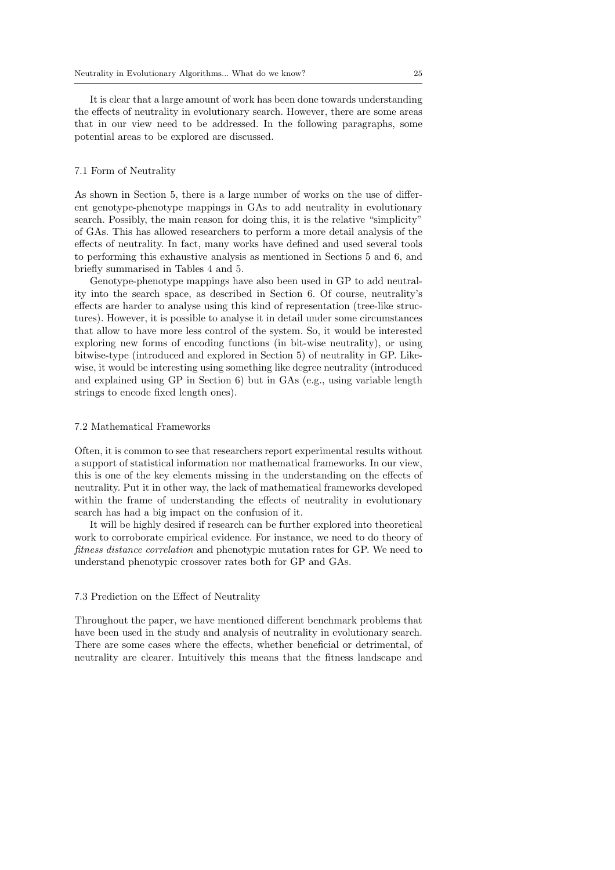It is clear that a large amount of work has been done towards understanding the effects of neutrality in evolutionary search. However, there are some areas that in our view need to be addressed. In the following paragraphs, some potential areas to be explored are discussed.

## 7.1 Form of Neutrality

As shown in Section 5, there is a large number of works on the use of different genotype-phenotype mappings in GAs to add neutrality in evolutionary search. Possibly, the main reason for doing this, it is the relative "simplicity" of GAs. This has allowed researchers to perform a more detail analysis of the effects of neutrality. In fact, many works have defined and used several tools to performing this exhaustive analysis as mentioned in Sections 5 and 6, and briefly summarised in Tables 4 and 5.

Genotype-phenotype mappings have also been used in GP to add neutrality into the search space, as described in Section 6. Of course, neutrality's effects are harder to analyse using this kind of representation (tree-like structures). However, it is possible to analyse it in detail under some circumstances that allow to have more less control of the system. So, it would be interested exploring new forms of encoding functions (in bit-wise neutrality), or using bitwise-type (introduced and explored in Section 5) of neutrality in GP. Likewise, it would be interesting using something like degree neutrality (introduced and explained using GP in Section 6) but in GAs (e.g., using variable length strings to encode fixed length ones).

#### 7.2 Mathematical Frameworks

Often, it is common to see that researchers report experimental results without a support of statistical information nor mathematical frameworks. In our view, this is one of the key elements missing in the understanding on the effects of neutrality. Put it in other way, the lack of mathematical frameworks developed within the frame of understanding the effects of neutrality in evolutionary search has had a big impact on the confusion of it.

It will be highly desired if research can be further explored into theoretical work to corroborate empirical evidence. For instance, we need to do theory of fitness distance correlation and phenotypic mutation rates for GP. We need to understand phenotypic crossover rates both for GP and GAs.

#### 7.3 Prediction on the Effect of Neutrality

Throughout the paper, we have mentioned different benchmark problems that have been used in the study and analysis of neutrality in evolutionary search. There are some cases where the effects, whether beneficial or detrimental, of neutrality are clearer. Intuitively this means that the fitness landscape and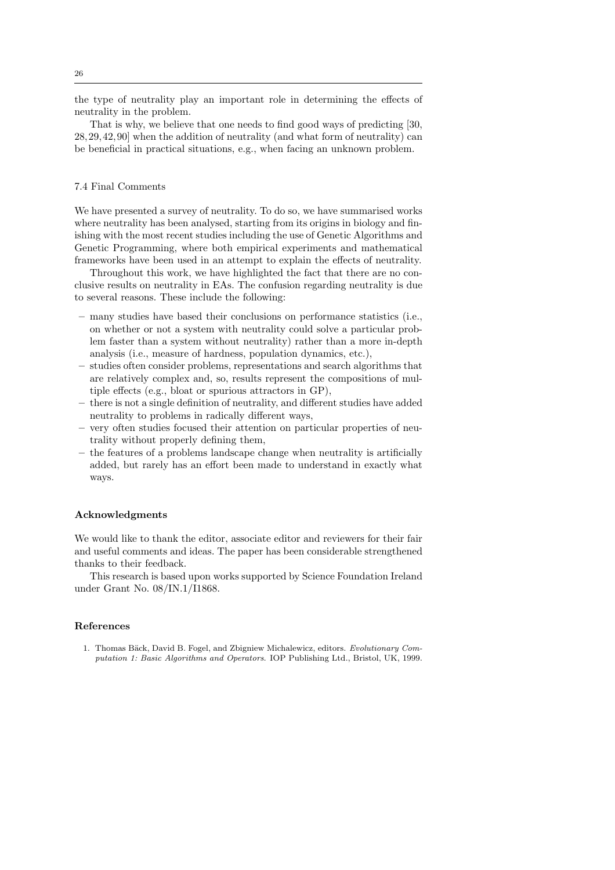the type of neutrality play an important role in determining the effects of neutrality in the problem.

That is why, we believe that one needs to find good ways of predicting [30, 28, 29, 42, 90] when the addition of neutrality (and what form of neutrality) can be beneficial in practical situations, e.g., when facing an unknown problem.

# 7.4 Final Comments

We have presented a survey of neutrality. To do so, we have summarised works where neutrality has been analysed, starting from its origins in biology and finishing with the most recent studies including the use of Genetic Algorithms and Genetic Programming, where both empirical experiments and mathematical frameworks have been used in an attempt to explain the effects of neutrality.

Throughout this work, we have highlighted the fact that there are no conclusive results on neutrality in EAs. The confusion regarding neutrality is due to several reasons. These include the following:

- many studies have based their conclusions on performance statistics (i.e., on whether or not a system with neutrality could solve a particular problem faster than a system without neutrality) rather than a more in-depth analysis (i.e., measure of hardness, population dynamics, etc.),
- studies often consider problems, representations and search algorithms that are relatively complex and, so, results represent the compositions of multiple effects (e.g., bloat or spurious attractors in GP),
- there is not a single definition of neutrality, and different studies have added neutrality to problems in radically different ways,
- very often studies focused their attention on particular properties of neutrality without properly defining them,
- the features of a problems landscape change when neutrality is artificially added, but rarely has an effort been made to understand in exactly what ways.

## Acknowledgments

We would like to thank the editor, associate editor and reviewers for their fair and useful comments and ideas. The paper has been considerable strengthened thanks to their feedback.

This research is based upon works supported by Science Foundation Ireland under Grant No. 08/IN.1/I1868.

#### References

1. Thomas Bäck, David B. Fogel, and Zbigniew Michalewicz, editors. Evolutionary Computation 1: Basic Algorithms and Operators. IOP Publishing Ltd., Bristol, UK, 1999.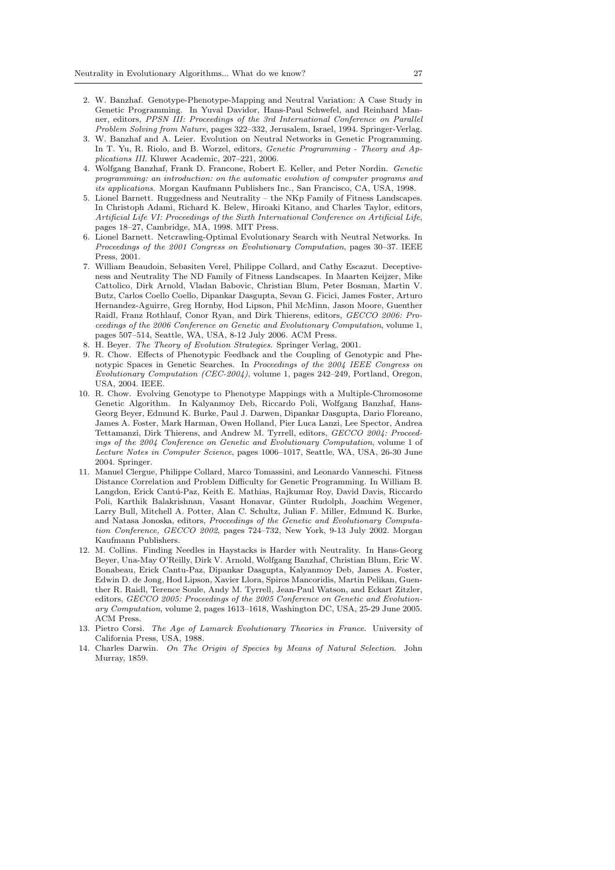- 2. W. Banzhaf. Genotype-Phenotype-Mapping and Neutral Variation: A Case Study in Genetic Programming. In Yuval Davidor, Hans-Paul Schwefel, and Reinhard Manner, editors, PPSN III: Proceedings of the 3rd International Conference on Parallel Problem Solving from Nature, pages 322–332, Jerusalem, Israel, 1994. Springer-Verlag.
- 3. W. Banzhaf and A. Leier. Evolution on Neutral Networks in Genetic Programming. In T. Yu, R. Riolo, and B. Worzel, editors, Genetic Programming - Theory and Applications III. Kluwer Academic, 207–221, 2006.
- 4. Wolfgang Banzhaf, Frank D. Francone, Robert E. Keller, and Peter Nordin. Genetic programming: an introduction: on the automatic evolution of computer programs and its applications. Morgan Kaufmann Publishers Inc., San Francisco, CA, USA, 1998.
- 5. Lionel Barnett. Ruggedness and Neutrality the NKp Family of Fitness Landscapes. In Christoph Adami, Richard K. Belew, Hiroaki Kitano, and Charles Taylor, editors, Artificial Life VI: Proceedings of the Sixth International Conference on Artificial Life, pages 18–27, Cambridge, MA, 1998. MIT Press.
- 6. Lionel Barnett. Netcrawling-Optimal Evolutionary Search with Neutral Networks. In Proceedings of the 2001 Congress on Evolutionary Computation, pages 30–37. IEEE Press, 2001.
- 7. William Beaudoin, Sebasiten Verel, Philippe Collard, and Cathy Escazut. Deceptiveness and Neutrality The ND Family of Fitness Landscapes. In Maarten Keijzer, Mike Cattolico, Dirk Arnold, Vladan Babovic, Christian Blum, Peter Bosman, Martin V. Butz, Carlos Coello Coello, Dipankar Dasgupta, Sevan G. Ficici, James Foster, Arturo Hernandez-Aguirre, Greg Hornby, Hod Lipson, Phil McMinn, Jason Moore, Guenther Raidl, Franz Rothlauf, Conor Ryan, and Dirk Thierens, editors, GECCO 2006: Proceedings of the 2006 Conference on Genetic and Evolutionary Computation, volume 1, pages 507–514, Seattle, WA, USA, 8-12 July 2006. ACM Press.
- 8. H. Beyer. The Theory of Evolution Strategies. Springer Verlag, 2001.
- 9. R. Chow. Effects of Phenotypic Feedback and the Coupling of Genotypic and Phenotypic Spaces in Genetic Searches. In Proceedings of the 2004 IEEE Congress on Evolutionary Computation (CEC-2004), volume 1, pages 242–249, Portland, Oregon, USA, 2004. IEEE.
- 10. R. Chow. Evolving Genotype to Phenotype Mappings with a Multiple-Chromosome Genetic Algorithm. In Kalyanmoy Deb, Riccardo Poli, Wolfgang Banzhaf, Hans-Georg Beyer, Edmund K. Burke, Paul J. Darwen, Dipankar Dasgupta, Dario Floreano, James A. Foster, Mark Harman, Owen Holland, Pier Luca Lanzi, Lee Spector, Andrea Tettamanzi, Dirk Thierens, and Andrew M. Tyrrell, editors, GECCO 2004: Proceedings of the 2004 Conference on Genetic and Evolutionary Computation, volume 1 of Lecture Notes in Computer Science, pages 1006–1017, Seattle, WA, USA, 26-30 June 2004. Springer.
- 11. Manuel Clergue, Philippe Collard, Marco Tomassini, and Leonardo Vanneschi. Fitness Distance Correlation and Problem Difficulty for Genetic Programming. In William B. Langdon, Erick Cantú-Paz, Keith E. Mathias, Rajkumar Roy, David Davis, Riccardo Poli, Karthik Balakrishnan, Vasant Honavar, Günter Rudolph, Joachim Wegener, Larry Bull, Mitchell A. Potter, Alan C. Schultz, Julian F. Miller, Edmund K. Burke, and Natasa Jonoska, editors, Proceedings of the Genetic and Evolutionary Computation Conference, GECCO 2002, pages 724–732, New York, 9-13 July 2002. Morgan Kaufmann Publishers.
- 12. M. Collins. Finding Needles in Haystacks is Harder with Neutrality. In Hans-Georg Beyer, Una-May O'Reilly, Dirk V. Arnold, Wolfgang Banzhaf, Christian Blum, Eric W. Bonabeau, Erick Cantu-Paz, Dipankar Dasgupta, Kalyanmoy Deb, James A. Foster, Edwin D. de Jong, Hod Lipson, Xavier Llora, Spiros Mancoridis, Martin Pelikan, Guenther R. Raidl, Terence Soule, Andy M. Tyrrell, Jean-Paul Watson, and Eckart Zitzler, editors, GECCO 2005: Proceedings of the 2005 Conference on Genetic and Evolutionary Computation, volume 2, pages 1613–1618, Washington DC, USA, 25-29 June 2005. ACM Press.
- 13. Pietro Corsi. The Age of Lamarck Evolutionary Theories in France. University of California Press, USA, 1988.
- 14. Charles Darwin. On The Origin of Species by Means of Natural Selection. John Murray, 1859.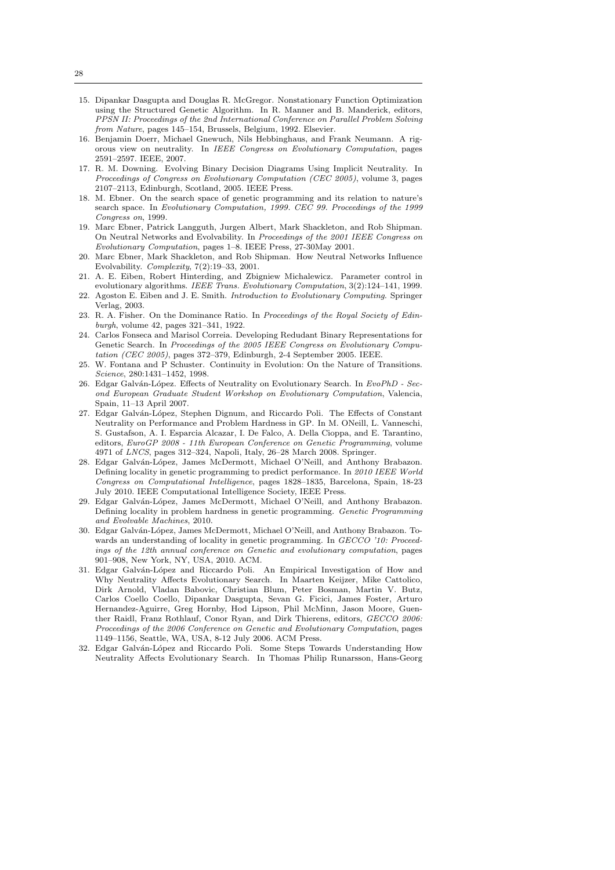- 15. Dipankar Dasgupta and Douglas R. McGregor. Nonstationary Function Optimization using the Structured Genetic Algorithm. In R. Manner and B. Manderick, editors, PPSN II: Proceedings of the 2nd International Conference on Parallel Problem Solving from Nature, pages 145–154, Brussels, Belgium, 1992. Elsevier.
- 16. Benjamin Doerr, Michael Gnewuch, Nils Hebbinghaus, and Frank Neumann. A rigorous view on neutrality. In IEEE Congress on Evolutionary Computation, pages 2591–2597. IEEE, 2007.
- 17. R. M. Downing. Evolving Binary Decision Diagrams Using Implicit Neutrality. In Proceedings of Congress on Evolutionary Computation (CEC 2005), volume 3, pages 2107–2113, Edinburgh, Scotland, 2005. IEEE Press.
- 18. M. Ebner. On the search space of genetic programming and its relation to nature's search space. In Evolutionary Computation, 1999. CEC 99. Proceedings of the 1999 Congress on, 1999.
- 19. Marc Ebner, Patrick Langguth, Jurgen Albert, Mark Shackleton, and Rob Shipman. On Neutral Networks and Evolvability. In Proceedings of the 2001 IEEE Congress on Evolutionary Computation, pages 1–8. IEEE Press, 27-30May 2001.
- 20. Marc Ebner, Mark Shackleton, and Rob Shipman. How Neutral Networks Influence Evolvability. Complexity, 7(2):19–33, 2001.
- 21. A. E. Eiben, Robert Hinterding, and Zbigniew Michalewicz. Parameter control in evolutionary algorithms. IEEE Trans. Evolutionary Computation, 3(2):124–141, 1999.
- 22. Agoston E. Eiben and J. E. Smith. Introduction to Evolutionary Computing. Springer Verlag, 2003.
- 23. R. A. Fisher. On the Dominance Ratio. In Proceedings of the Royal Society of Edinburgh, volume 42, pages 321–341, 1922.
- 24. Carlos Fonseca and Marisol Correia. Developing Redudant Binary Representations for Genetic Search. In Proceedings of the 2005 IEEE Congress on Evolutionary Computation (CEC 2005), pages 372–379, Edinburgh, 2-4 September 2005. IEEE.
- 25. W. Fontana and P Schuster. Continuity in Evolution: On the Nature of Transitions. Science, 280:1431–1452, 1998.
- 26. Edgar Galván-López. Effects of Neutrality on Evolutionary Search. In  $EvoPhD$  Second European Graduate Student Workshop on Evolutionary Computation, Valencia, Spain, 11–13 April 2007.
- 27. Edgar Galván-López, Stephen Dignum, and Riccardo Poli. The Effects of Constant Neutrality on Performance and Problem Hardness in GP. In M. ONeill, L. Vanneschi, S. Gustafson, A. I. Esparcia Alcazar, I. De Falco, A. Della Cioppa, and E. Tarantino, editors, EuroGP 2008 - 11th European Conference on Genetic Programming, volume 4971 of LNCS, pages 312–324, Napoli, Italy, 26–28 March 2008. Springer.
- 28. Edgar Galván-López, James McDermott, Michael O'Neill, and Anthony Brabazon. Defining locality in genetic programming to predict performance. In 2010 IEEE World Congress on Computational Intelligence, pages 1828–1835, Barcelona, Spain, 18-23 July 2010. IEEE Computational Intelligence Society, IEEE Press.
- 29. Edgar Galván-López, James McDermott, Michael O'Neill, and Anthony Brabazon. Defining locality in problem hardness in genetic programming. Genetic Programming and Evolvable Machines, 2010.
- 30. Edgar Galv´an-L´opez, James McDermott, Michael O'Neill, and Anthony Brabazon. Towards an understanding of locality in genetic programming. In GECCO '10: Proceedings of the 12th annual conference on Genetic and evolutionary computation, pages 901–908, New York, NY, USA, 2010. ACM.
- 31. Edgar Galván-López and Riccardo Poli. An Empirical Investigation of How and Why Neutrality Affects Evolutionary Search. In Maarten Keijzer, Mike Cattolico, Dirk Arnold, Vladan Babovic, Christian Blum, Peter Bosman, Martin V. Butz, Carlos Coello Coello, Dipankar Dasgupta, Sevan G. Ficici, James Foster, Arturo Hernandez-Aguirre, Greg Hornby, Hod Lipson, Phil McMinn, Jason Moore, Guenther Raidl, Franz Rothlauf, Conor Ryan, and Dirk Thierens, editors, GECCO 2006: Proceedings of the 2006 Conference on Genetic and Evolutionary Computation, pages 1149–1156, Seattle, WA, USA, 8-12 July 2006. ACM Press.
- 32. Edgar Galván-López and Riccardo Poli. Some Steps Towards Understanding How Neutrality Affects Evolutionary Search. In Thomas Philip Runarsson, Hans-Georg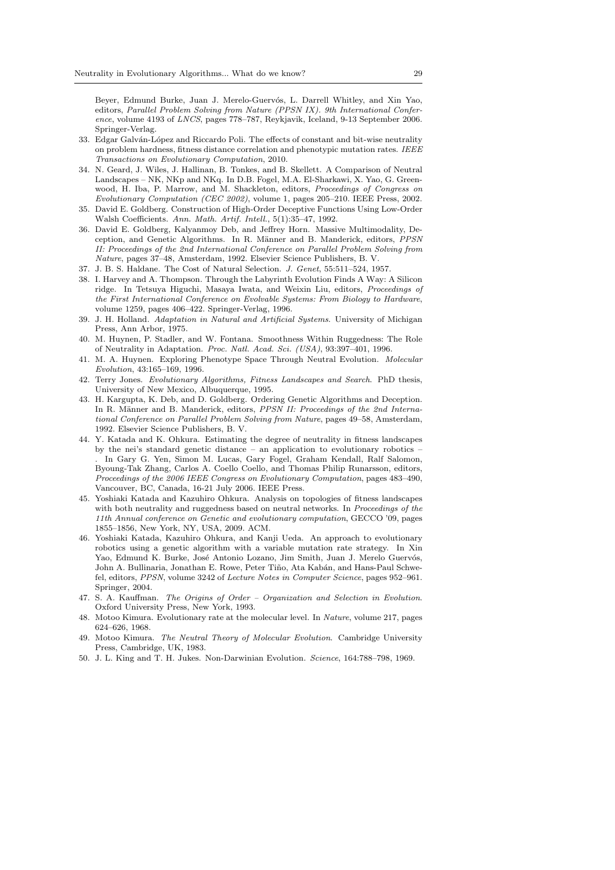Beyer, Edmund Burke, Juan J. Merelo-Guervós, L. Darrell Whitley, and Xin Yao, editors, Parallel Problem Solving from Nature (PPSN IX). 9th International Conference, volume 4193 of LNCS, pages 778–787, Reykjavik, Iceland, 9-13 September 2006. Springer-Verlag.

- 33. Edgar Galván-López and Riccardo Poli. The effects of constant and bit-wise neutrality on problem hardness, fitness distance correlation and phenotypic mutation rates. IEEE Transactions on Evolutionary Computation, 2010.
- 34. N. Geard, J. Wiles, J. Hallinan, B. Tonkes, and B. Skellett. A Comparison of Neutral Landscapes – NK, NKp and NKq. In D.B. Fogel, M.A. El-Sharkawi, X. Yao, G. Greenwood, H. Iba, P. Marrow, and M. Shackleton, editors, Proceedings of Congress on Evolutionary Computation (CEC 2002), volume 1, pages 205–210. IEEE Press, 2002.
- 35. David E. Goldberg. Construction of High-Order Deceptive Functions Using Low-Order Walsh Coefficients. Ann. Math. Artif. Intell., 5(1):35–47, 1992.
- 36. David E. Goldberg, Kalyanmoy Deb, and Jeffrey Horn. Massive Multimodality, Deception, and Genetic Algorithms. In R. Männer and B. Manderick, editors, PPSN II: Proceedings of the 2nd International Conference on Parallel Problem Solving from Nature, pages 37–48, Amsterdam, 1992. Elsevier Science Publishers, B. V.
- 37. J. B. S. Haldane. The Cost of Natural Selection. J. Genet, 55:511–524, 1957.
- 38. I. Harvey and A. Thompson. Through the Labyrinth Evolution Finds A Way: A Silicon ridge. In Tetsuya Higuchi, Masaya Iwata, and Weixin Liu, editors, Proceedings of the First International Conference on Evolvable Systems: From Biology to Hardware, volume 1259, pages 406–422. Springer-Verlag, 1996.
- 39. J. H. Holland. Adaptation in Natural and Artificial Systems. University of Michigan Press, Ann Arbor, 1975.
- 40. M. Huynen, P. Stadler, and W. Fontana. Smoothness Within Ruggedness: The Role of Neutrality in Adaptation. Proc. Natl. Acad. Sci. (USA), 93:397–401, 1996.
- 41. M. A. Huynen. Exploring Phenotype Space Through Neutral Evolution. Molecular Evolution, 43:165–169, 1996.
- 42. Terry Jones. Evolutionary Algorithms, Fitness Landscapes and Search. PhD thesis, University of New Mexico, Albuquerque, 1995.
- 43. H. Kargupta, K. Deb, and D. Goldberg. Ordering Genetic Algorithms and Deception. In R. Männer and B. Manderick, editors, PPSN II: Proceedings of the 2nd International Conference on Parallel Problem Solving from Nature, pages 49–58, Amsterdam, 1992. Elsevier Science Publishers, B. V.
- 44. Y. Katada and K. Ohkura. Estimating the degree of neutrality in fitness landscapes by the nei's standard genetic distance – an application to evolutionary robotics – . In Gary G. Yen, Simon M. Lucas, Gary Fogel, Graham Kendall, Ralf Salomon, Byoung-Tak Zhang, Carlos A. Coello Coello, and Thomas Philip Runarsson, editors, Proceedings of the 2006 IEEE Congress on Evolutionary Computation, pages 483–490, Vancouver, BC, Canada, 16-21 July 2006. IEEE Press.
- 45. Yoshiaki Katada and Kazuhiro Ohkura. Analysis on topologies of fitness landscapes with both neutrality and ruggedness based on neutral networks. In Proceedings of the 11th Annual conference on Genetic and evolutionary computation, GECCO '09, pages 1855–1856, New York, NY, USA, 2009. ACM.
- 46. Yoshiaki Katada, Kazuhiro Ohkura, and Kanji Ueda. An approach to evolutionary robotics using a genetic algorithm with a variable mutation rate strategy. In Xin Yao, Edmund K. Burke, José Antonio Lozano, Jim Smith, Juan J. Merelo Guervós, John A. Bullinaria, Jonathan E. Rowe, Peter Tiño, Ata Kabán, and Hans-Paul Schwefel, editors, PPSN, volume 3242 of Lecture Notes in Computer Science, pages 952–961. Springer, 2004.
- 47. S. A. Kauffman. The Origins of Order Organization and Selection in Evolution. Oxford University Press, New York, 1993.
- 48. Motoo Kimura. Evolutionary rate at the molecular level. In Nature, volume 217, pages 624–626, 1968.
- 49. Motoo Kimura. The Neutral Theory of Molecular Evolution. Cambridge University Press, Cambridge, UK, 1983.
- 50. J. L. King and T. H. Jukes. Non-Darwinian Evolution. Science, 164:788–798, 1969.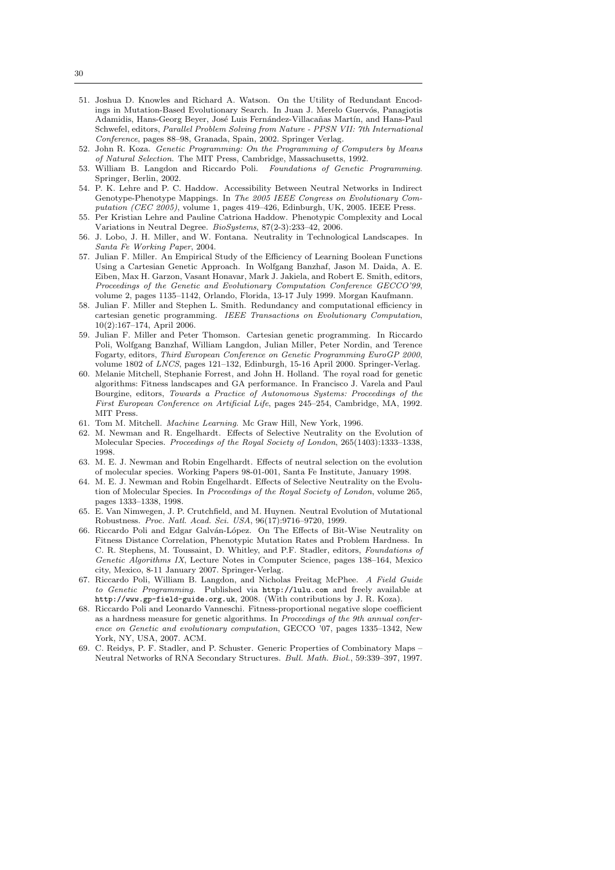- 51. Joshua D. Knowles and Richard A. Watson. On the Utility of Redundant Encodings in Mutation-Based Evolutionary Search. In Juan J. Merelo Guervós, Panagiotis Adamidis, Hans-Georg Beyer, José Luis Fernández-Villacañas Martín, and Hans-Paul Schwefel, editors, Parallel Problem Solving from Nature - PPSN VII: 7th International Conference, pages 88–98, Granada, Spain, 2002. Springer Verlag.
- 52. John R. Koza. Genetic Programming: On the Programming of Computers by Means of Natural Selection. The MIT Press, Cambridge, Massachusetts, 1992.
- 53. William B. Langdon and Riccardo Poli. Foundations of Genetic Programming. Springer, Berlin, 2002.
- 54. P. K. Lehre and P. C. Haddow. Accessibility Between Neutral Networks in Indirect Genotype-Phenotype Mappings. In The 2005 IEEE Congress on Evolutionary Computation (CEC 2005), volume 1, pages 419–426, Edinburgh, UK, 2005. IEEE Press.
- 55. Per Kristian Lehre and Pauline Catriona Haddow. Phenotypic Complexity and Local Variations in Neutral Degree. BioSystems, 87(2-3):233-42, 2006.
- 56. J. Lobo, J. H. Miller, and W. Fontana. Neutrality in Technological Landscapes. In Santa Fe Working Paper, 2004.
- 57. Julian F. Miller. An Empirical Study of the Efficiency of Learning Boolean Functions Using a Cartesian Genetic Approach. In Wolfgang Banzhaf, Jason M. Daida, A. E. Eiben, Max H. Garzon, Vasant Honavar, Mark J. Jakiela, and Robert E. Smith, editors, Proceedings of the Genetic and Evolutionary Computation Conference GECCO'99, volume 2, pages 1135–1142, Orlando, Florida, 13-17 July 1999. Morgan Kaufmann.
- 58. Julian F. Miller and Stephen L. Smith. Redundancy and computational efficiency in cartesian genetic programming. IEEE Transactions on Evolutionary Computation, 10(2):167–174, April 2006.
- 59. Julian F. Miller and Peter Thomson. Cartesian genetic programming. In Riccardo Poli, Wolfgang Banzhaf, William Langdon, Julian Miller, Peter Nordin, and Terence Fogarty, editors, Third European Conference on Genetic Programming EuroGP 2000, volume 1802 of LNCS, pages 121–132, Edinburgh, 15-16 April 2000. Springer-Verlag.
- 60. Melanie Mitchell, Stephanie Forrest, and John H. Holland. The royal road for genetic algorithms: Fitness landscapes and GA performance. In Francisco J. Varela and Paul Bourgine, editors, Towards a Practice of Autonomous Systems: Proceedings of the First European Conference on Artificial Life, pages 245–254, Cambridge, MA, 1992. MIT Press.
- Tom M. Mitchell. Machine Learning. Mc Graw Hill, New York, 1996.
- 62. M. Newman and R. Engelhardt. Effects of Selective Neutrality on the Evolution of Molecular Species. Proceedings of the Royal Society of London, 265(1403):1333–1338, 1998.
- 63. M. E. J. Newman and Robin Engelhardt. Effects of neutral selection on the evolution of molecular species. Working Papers 98-01-001, Santa Fe Institute, January 1998.
- 64. M. E. J. Newman and Robin Engelhardt. Effects of Selective Neutrality on the Evolution of Molecular Species. In Proceedings of the Royal Society of London, volume 265, pages 1333–1338, 1998.
- 65. E. Van Nimwegen, J. P. Crutchfield, and M. Huynen. Neutral Evolution of Mutational Robustness. Proc. Natl. Acad. Sci. USA, 96(17):9716–9720, 1999.
- 66. Riccardo Poli and Edgar Galván-López. On The Effects of Bit-Wise Neutrality on Fitness Distance Correlation, Phenotypic Mutation Rates and Problem Hardness. In C. R. Stephens, M. Toussaint, D. Whitley, and P.F. Stadler, editors, Foundations of Genetic Algorithms IX, Lecture Notes in Computer Science, pages 138–164, Mexico city, Mexico, 8-11 January 2007. Springer-Verlag.
- 67. Riccardo Poli, William B. Langdon, and Nicholas Freitag McPhee. A Field Guide to Genetic Programming. Published via http://lulu.com and freely available at http://www.gp-field-guide.org.uk, 2008. (With contributions by J. R. Koza).
- 68. Riccardo Poli and Leonardo Vanneschi. Fitness-proportional negative slope coefficient as a hardness measure for genetic algorithms. In Proceedings of the 9th annual conference on Genetic and evolutionary computation, GECCO '07, pages 1335–1342, New York, NY, USA, 2007. ACM.
- 69. C. Reidys, P. F. Stadler, and P. Schuster. Generic Properties of Combinatory Maps Neutral Networks of RNA Secondary Structures. Bull. Math. Biol., 59:339–397, 1997.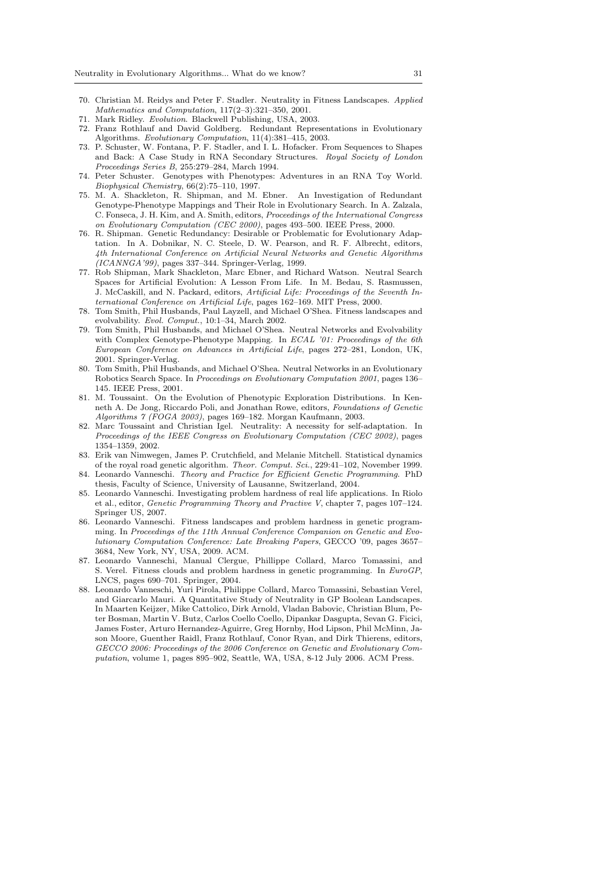- 70. Christian M. Reidys and Peter F. Stadler. Neutrality in Fitness Landscapes. Applied Mathematics and Computation, 117(2–3):321–350, 2001.
- 71. Mark Ridley. Evolution. Blackwell Publishing, USA, 2003.
- 72. Franz Rothlauf and David Goldberg. Redundant Representations in Evolutionary Algorithms. Evolutionary Computation, 11(4):381–415, 2003.
- 73. P. Schuster, W. Fontana, P. F. Stadler, and I. L. Hofacker. From Sequences to Shapes and Back: A Case Study in RNA Secondary Structures. Royal Society of London Proceedings Series B, 255:279–284, March 1994.
- 74. Peter Schuster. Genotypes with Phenotypes: Adventures in an RNA Toy World. Biophysical Chemistry, 66(2):75–110, 1997.
- 75. M. A. Shackleton, R. Shipman, and M. Ebner. An Investigation of Redundant Genotype-Phenotype Mappings and Their Role in Evolutionary Search. In A. Zalzala, C. Fonseca, J. H. Kim, and A. Smith, editors, Proceedings of the International Congress on Evolutionary Computation (CEC 2000), pages 493–500. IEEE Press, 2000.
- 76. R. Shipman. Genetic Redundancy: Desirable or Problematic for Evolutionary Adaptation. In A. Dobnikar, N. C. Steele, D. W. Pearson, and R. F. Albrecht, editors, 4th International Conference on Artificial Neural Networks and Genetic Algorithms (ICANNGA'99), pages 337–344. Springer-Verlag, 1999.
- 77. Rob Shipman, Mark Shackleton, Marc Ebner, and Richard Watson. Neutral Search Spaces for Artificial Evolution: A Lesson From Life. In M. Bedau, S. Rasmussen, J. McCaskill, and N. Packard, editors, Artificial Life: Proceedings of the Seventh International Conference on Artificial Life, pages 162–169. MIT Press, 2000.
- 78. Tom Smith, Phil Husbands, Paul Layzell, and Michael O'Shea. Fitness landscapes and evolvability. Evol. Comput., 10:1–34, March 2002.
- 79. Tom Smith, Phil Husbands, and Michael O'Shea. Neutral Networks and Evolvability with Complex Genotype-Phenotype Mapping. In ECAL '01: Proceedings of the 6th European Conference on Advances in Artificial Life, pages 272–281, London, UK, 2001. Springer-Verlag.
- 80. Tom Smith, Phil Husbands, and Michael O'Shea. Neutral Networks in an Evolutionary Robotics Search Space. In Proceedings on Evolutionary Computation 2001, pages 136– 145. IEEE Press, 2001.
- 81. M. Toussaint. On the Evolution of Phenotypic Exploration Distributions. In Kenneth A. De Jong, Riccardo Poli, and Jonathan Rowe, editors, Foundations of Genetic Algorithms 7 (FOGA 2003), pages 169–182. Morgan Kaufmann, 2003.
- 82. Marc Toussaint and Christian Igel. Neutrality: A necessity for self-adaptation. In Proceedings of the IEEE Congress on Evolutionary Computation (CEC 2002), pages 1354–1359, 2002.
- 83. Erik van Nimwegen, James P. Crutchfield, and Melanie Mitchell. Statistical dynamics of the royal road genetic algorithm. Theor. Comput. Sci., 229:41–102, November 1999.
- 84. Leonardo Vanneschi. Theory and Practice for Efficient Genetic Programming. PhD thesis, Faculty of Science, University of Lausanne, Switzerland, 2004.
- 85. Leonardo Vanneschi. Investigating problem hardness of real life applications. In Riolo et al., editor, Genetic Programming Theory and Practive V, chapter 7, pages 107–124. Springer US, 2007.
- 86. Leonardo Vanneschi. Fitness landscapes and problem hardness in genetic programming. In Proceedings of the 11th Annual Conference Companion on Genetic and Evolutionary Computation Conference: Late Breaking Papers, GECCO '09, pages 3657– 3684, New York, NY, USA, 2009. ACM.
- 87. Leonardo Vanneschi, Manual Clergue, Phillippe Collard, Marco Tomassini, and S. Verel. Fitness clouds and problem hardness in genetic programming. In EuroGP, LNCS, pages 690–701. Springer, 2004.
- 88. Leonardo Vanneschi, Yuri Pirola, Philippe Collard, Marco Tomassini, Sebastian Verel, and Giarcarlo Mauri. A Quantitative Study of Neutrality in GP Boolean Landscapes. In Maarten Keijzer, Mike Cattolico, Dirk Arnold, Vladan Babovic, Christian Blum, Peter Bosman, Martin V. Butz, Carlos Coello Coello, Dipankar Dasgupta, Sevan G. Ficici, James Foster, Arturo Hernandez-Aguirre, Greg Hornby, Hod Lipson, Phil McMinn, Jason Moore, Guenther Raidl, Franz Rothlauf, Conor Ryan, and Dirk Thierens, editors, GECCO 2006: Proceedings of the 2006 Conference on Genetic and Evolutionary Computation, volume 1, pages 895–902, Seattle, WA, USA, 8-12 July 2006. ACM Press.